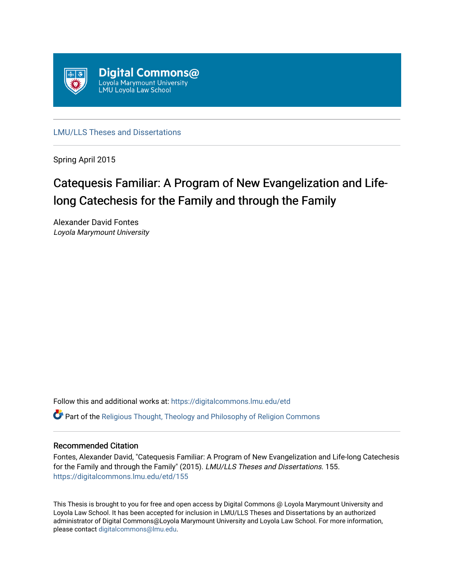

[LMU/LLS Theses and Dissertations](https://digitalcommons.lmu.edu/etd)

Spring April 2015

# Catequesis Familiar: A Program of New Evangelization and Lifelong Catechesis for the Family and through the Family

Alexander David Fontes Loyola Marymount University

Follow this and additional works at: [https://digitalcommons.lmu.edu/etd](https://digitalcommons.lmu.edu/etd?utm_source=digitalcommons.lmu.edu%2Fetd%2F155&utm_medium=PDF&utm_campaign=PDFCoverPages) 

Part of the [Religious Thought, Theology and Philosophy of Religion Commons](http://network.bepress.com/hgg/discipline/544?utm_source=digitalcommons.lmu.edu%2Fetd%2F155&utm_medium=PDF&utm_campaign=PDFCoverPages) 

# Recommended Citation

Fontes, Alexander David, "Catequesis Familiar: A Program of New Evangelization and Life-long Catechesis for the Family and through the Family" (2015). LMU/LLS Theses and Dissertations. 155. [https://digitalcommons.lmu.edu/etd/155](https://digitalcommons.lmu.edu/etd/155?utm_source=digitalcommons.lmu.edu%2Fetd%2F155&utm_medium=PDF&utm_campaign=PDFCoverPages)

This Thesis is brought to you for free and open access by Digital Commons @ Loyola Marymount University and Loyola Law School. It has been accepted for inclusion in LMU/LLS Theses and Dissertations by an authorized administrator of Digital Commons@Loyola Marymount University and Loyola Law School. For more information, please contact [digitalcommons@lmu.edu](mailto:digitalcommons@lmu.edu).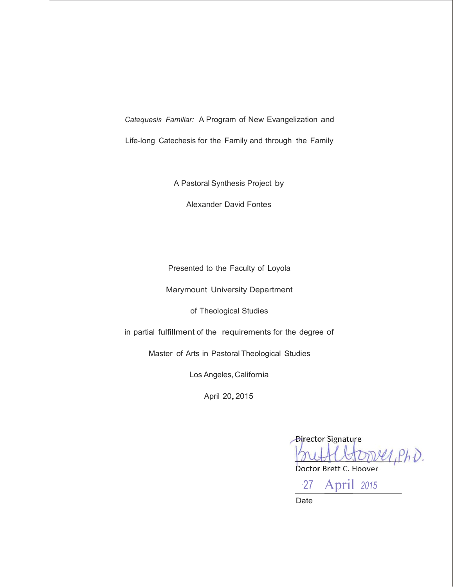*Catequesis Familiar:* A Program of New Evangelization and

Life-long Catechesis for the Family and through the Family

A Pastoral Synthesis Project by

Alexander David Fontes

Presented to the Faculty of Loyola

Marymount University Department

of Theological Studies

in partial fulfillment of the requirements for the degree of

Master of Arts in Pastoral Theological Studies

Los Angeles, California

April 20,2015

**Director Signature**  $1, PhD.$ 

Doctor Brett C. Hoover

·27 April *<sup>2015</sup>* Date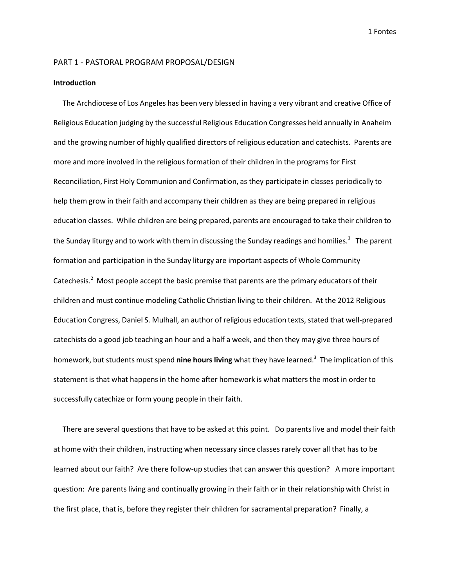#### PART 1 - PASTORAL PROGRAM PROPOSAL/DESIGN

#### **Introduction**

The Archdiocese of Los Angeles has been very blessed in having a very vibrant and creative Office of Religious Education judging by the successful Religious Education Congresses held annually in Anaheim and the growing number of highly qualified directors of religious education and catechists. Parents are more and more involved in the religious formation of their children in the programsfor First Reconciliation, First Holy Communion and Confirmation, as they participate in classes periodically to help them grow in their faith and accompany their children as they are being prepared in religious education classes. While children are being prepared, parents are encouraged to take their children to the Sunday liturgy and to work with them in discussing the Sunday readings and homilies. $^1$  The parent formation and participation in the Sunday liturgy are important aspects of Whole Community Catechesis.<sup>2</sup> Most people accept the basic premise that parents are the primary educators of their children and must continue modeling Catholic Christian living to their children. At the 2012 Religious Education Congress, Daniel S. Mulhall, an author of religious education texts, stated that well-prepared catechists do a good job teaching an hour and a half a week, and then they may give three hours of homework, but students must spend **nine hours living** what they have learned.3 The implication of this statement is that what happens in the home after homework is what matters the most in order to successfully catechize or form young people in their faith.

There are several questions that have to be asked at this point. Do parents live and model their faith at home with their children, instructing when necessary since classes rarely cover all that has to be learned about our faith? Are there follow-up studies that can answer this question? A more important question: Are parents living and continually growing in their faith or in their relationship with Christ in the first place, that is, before they register their children for sacramental preparation? Finally, a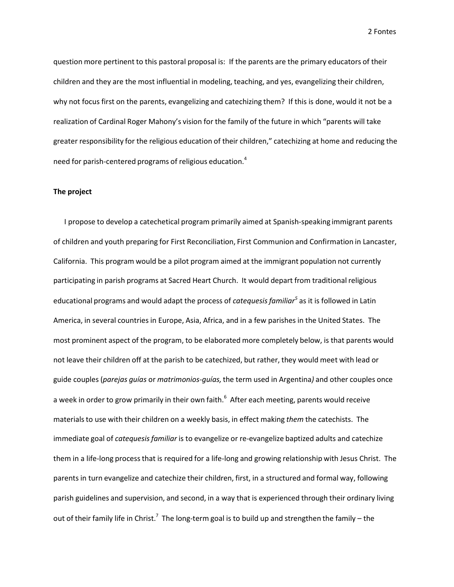question more pertinent to this pastoral proposal is: If the parents are the primary educators of their children and they are the most influential in modeling, teaching, and yes, evangelizing their children, why not focus first on the parents, evangelizing and catechizing them? If this is done, would it not be a realization of Cardinal Roger Mahony's vision for the family of the future in which "parents will take greater responsibility for the religious education of their children," catechizing at home and reducing the need for parish-centered programs of religious education.<sup>4</sup>

## **The project**

I propose to develop a catechetical program primarily aimed at Spanish-speaking immigrant parents of children and youth preparing for First Reconciliation, First Communion and Confirmation in Lancaster, California. This program would be a pilot program aimed at the immigrant population not currently participating in parish programs at Sacred Heart Church. It would depart from traditional religious educational programs and would adapt the process of *catequesisfamiliar <sup>5</sup>* as it is followed in Latin America, in several countries in Europe, Asia, Africa, and in a few parishes in the United States. The most prominent aspect of the program, to be elaborated more completely below, is that parents would not leave their children off at the parish to be catechized, but rather, they would meet with lead or guide couples (*parejas guías* or *matrimonios-guías,*the term used in Argentina*)* and other couples once a week in order to grow primarily in their own faith.<sup>6</sup> After each meeting, parents would receive materials to use with their children on a weekly basis, in effect making *them* the catechists. The immediate goal of *catequesisfamiliar* is to evangelize or re-evangelize baptized adults and catechize them in a life-long processthat is required for a life-long and growing relationship with Jesus Christ. The parents in turn evangelize and catechize their children, first, in a structured and formal way, following parish guidelines and supervision, and second, in a way that is experienced through their ordinary living out of their family life in Christ.<sup>7</sup> The long-term goal is to build up and strengthen the family – the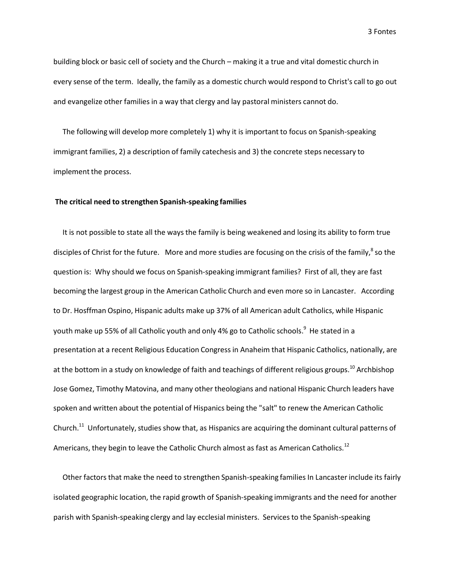building block or basic cell of society and the Church – making it a true and vital domestic church in every sense of the term. Ideally, the family as a domestic church would respond to Christ's call to go out and evangelize other families in a way that clergy and lay pastoral ministers cannot do.

The following will develop more completely 1) why it is important to focus on Spanish-speaking immigrant families, 2) a description of family catechesis and 3) the concrete steps necessary to implement the process.

#### **The critical need to strengthen Spanish-speaking families**

It is not possible to state all the ways the family is being weakened and losing its ability to form true disciples of Christ for the future. More and more studies are focusing on the crisis of the family,<sup>8</sup> so the question is: Why should we focus on Spanish-speaking immigrant families? First of all, they are fast becoming the largest group in the American Catholic Church and even more so in Lancaster. According to Dr. Hosffman Ospino, Hispanic adults make up 37% of all American adult Catholics, while Hispanic youth make up 55% of all Catholic youth and only 4% go to Catholic schools.<sup>9</sup> He stated in a presentation at a recent Religious Education Congress in Anaheim that Hispanic Catholics, nationally, are at the bottom in a study on knowledge of faith and teachings of different religious groups.<sup>10</sup> Archbishop Jose Gomez, Timothy Matovina, and many other theologians and national Hispanic Church leaders have spoken and written about the potential of Hispanics being the "salt" to renew the American Catholic Church.<sup>11</sup> Unfortunately, studies show that, as Hispanics are acquiring the dominant cultural patterns of Americans, they begin to leave the Catholic Church almost as fast as American Catholics.<sup>12</sup>

Other factors that make the need to strengthen Spanish-speaking families In Lancaster include its fairly isolated geographic location, the rapid growth of Spanish-speaking immigrants and the need for another parish with Spanish-speaking clergy and lay ecclesial ministers. Services to the Spanish-speaking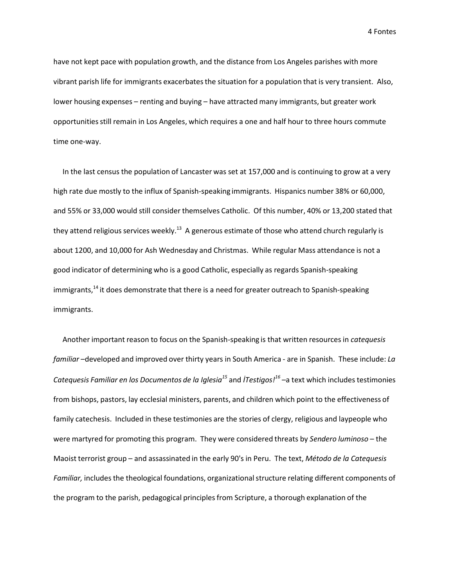have not kept pace with population growth, and the distance from Los Angeles parishes with more vibrant parish life for immigrants exacerbates the situation for a population that is very transient. Also, lower housing expenses – renting and buying – have attracted many immigrants, but greater work opportunitiesstill remain in Los Angeles, which requires a one and half hour to three hours commute time one-way.

In the last census the population of Lancaster was set at 157,000 and is continuing to grow at a very high rate due mostly to the influx of Spanish-speaking immigrants. Hispanics number 38% or 60,000, and 55% or 33,000 would still consider themselves Catholic. Of this number, 40% or 13,200 stated that they attend religious services weekly. $^{13}$  A generous estimate of those who attend church regularly is about 1200, and 10,000 for Ash Wednesday and Christmas. While regular Mass attendance is not a good indicator of determining who is a good Catholic, especially as regards Spanish-speaking immigrants,<sup>14</sup> it does demonstrate that there is a need for greater outreach to Spanish-speaking immigrants.

Another important reason to focus on the Spanish-speaking is that written resources in *catequesis familiar* –developed and improved over thirty years in South America - are in Spanish. These include: *La Catequesis Familiar en los Documentos de la Iglesia<sup>15</sup>* and *İTestigos! <sup>16</sup>* –a text which includes testimonies from bishops, pastors, lay ecclesial ministers, parents, and children which point to the effectiveness of family catechesis. Included in these testimonies are the stories of clergy, religious and laypeople who were martyred for promoting this program. They were considered threats by *Sendero luminoso* – the Maoist terrorist group – and assassinated in the early 90's in Peru. The text, *Método de la Catequesis Familiar,* includes the theological foundations, organizationalstructure relating different components of the program to the parish, pedagogical principlesfrom Scripture, a thorough explanation of the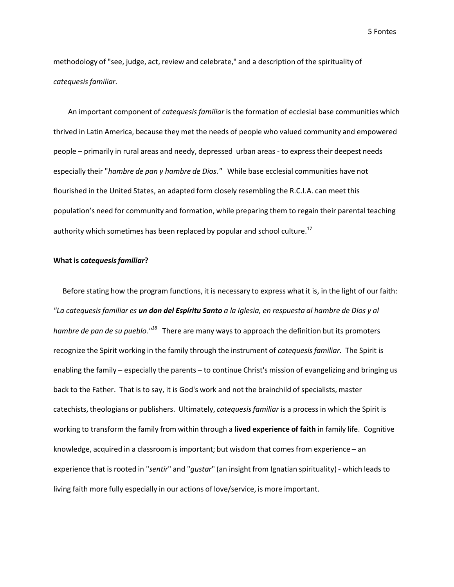methodology of "see, judge, act, review and celebrate," and a description of the spirituality of *catequesis familiar.*

An important component of *catequesisfamiliar* is the formation of ecclesial base communities which thrived in Latin America, because they met the needs of people who valued community and empowered people – primarily in rural areas and needy, depressed urban areas - to express their deepest needs especially their "*hambre de pan y hambre de Dios."* While base ecclesial communities have not flourished in the United States, an adapted form closely resembling the R.C.I.A. can meet this population's need for community and formation, while preparing them to regain their parental teaching authority which sometimes has been replaced by popular and school culture.<sup>17</sup>

# **What is c***atequesisfamiliar***?**

Before stating how the program functions, it is necessary to express what it is, in the light of our faith: "La catequesis familiar es **un don del Espíritu Santo** a la Iglesia, en respuesta al hambre de Dios y al *hambre de pan de su pueblo.* "<sup>18</sup> There are many ways to approach the definition but its promoters recognize the Spirit working in the family through the instrument of *catequesisfamiliar.* The Spirit is enabling the family – especially the parents – to continue Christ's mission of evangelizing and bringing us back to the Father. That is to say, it is God's work and not the brainchild of specialists, master catechists, theologians or publishers. Ultimately, *catequesisfamiliar* is a process in which the Spirit is working to transform the family from within through a **lived experience of faith** in family life. Cognitive knowledge, acquired in a classroom is important; but wisdom that comes from experience – an experience that is rooted in "*sentir*" and "*gustar*" (an insight from Ignatian spirituality) - which leads to living faith more fully especially in our actions of love/service, is more important.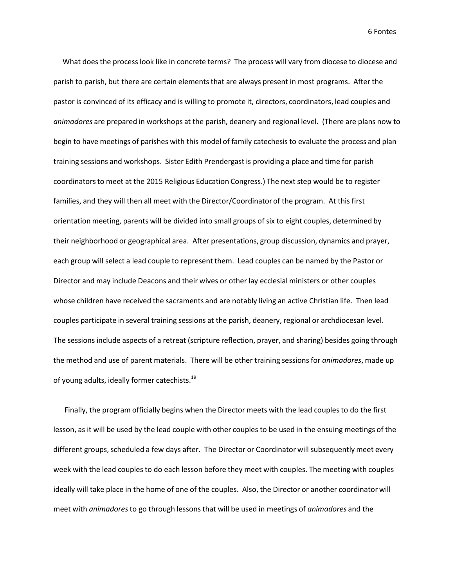What does the process look like in concrete terms? The process will vary from diocese to diocese and parish to parish, but there are certain elements that are always present in most programs. After the pastor is convinced of its efficacy and is willing to promote it, directors, coordinators, lead couples and *animadores* are prepared in workshops at the parish, deanery and regional level. (There are plans now to begin to have meetings of parishes with this model of family catechesis to evaluate the process and plan training sessions and workshops. Sister Edith Prendergast is providing a place and time for parish coordinatorsto meet at the 2015 Religious Education Congress.) The next step would be to register families, and they will then all meet with the Director/Coordinatorof the program. At this first orientation meeting, parents will be divided into small groups of six to eight couples, determined by their neighborhood or geographical area. After presentations, group discussion, dynamics and prayer, each group will select a lead couple to represent them. Lead couples can be named by the Pastor or Director and may include Deacons and their wives or other lay ecclesial ministers or other couples whose children have received the sacraments and are notably living an active Christian life. Then lead couples participate in several training sessions at the parish, deanery, regional or archdiocesan level. The sessions include aspects of a retreat (scripture reflection, prayer, and sharing) besides going through the method and use of parent materials. There will be other training sessions for *animadores*, made up of young adults, ideally former catechists.<sup>19</sup>

Finally, the program officially begins when the Director meets with the lead couples to do the first lesson, as it will be used by the lead couple with other couples to be used in the ensuing meetings of the different groups, scheduled a few days after. The Director or Coordinator will subsequently meet every week with the lead couples to do each lesson before they meet with couples. The meeting with couples ideally will take place in the home of one of the couples. Also, the Director or another coordinator will meet with *animadores*to go through lessons that will be used in meetings of *animadores* and the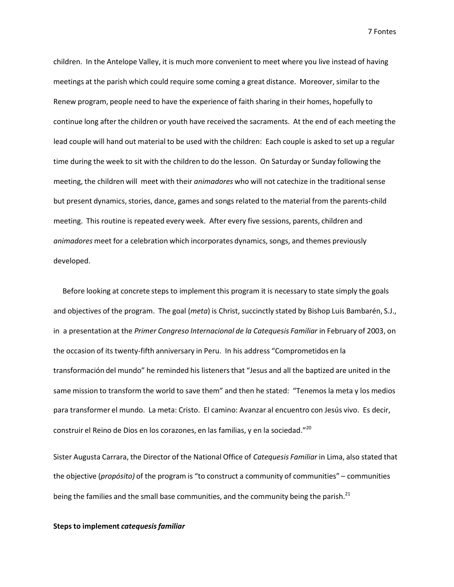children. In the Antelope Valley, it is much more convenient to meet where you live instead of having meetings at the parish which could require some coming a great distance. Moreover, similar to the Renew program, people need to have the experience of faith sharing in their homes, hopefully to continue long after the children or youth have received the sacraments. At the end of each meeting the lead couple will hand out material to be used with the children: Each couple is asked to set up a regular time during the week to sit with the children to do the lesson. On Saturday or Sunday following the meeting, the children will meet with their *animadores* who will not catechize in the traditionalsense but present dynamics, stories, dance, games and songs related to the material from the parents-child meeting. This routine is repeated every week. After every five sessions, parents, children and *animadores* meet for a celebration which incorporates dynamics, songs, and themes previously developed.

Before looking at concrete steps to implement this program it is necessary to state simply the goals and objectives of the program. The goal (*meta*) is Christ, succinctly stated by Bishop Luis Bambarén, S.J., in a presentation at the *Primer Congreso Internacional de la Catequesis Familiar* in February of 2003, on the occasion of its twenty-fifth anniversary in Peru. In his address "Comprometidos en la transformación del mundo" he reminded his listenersthat "Jesus and all the baptized are united in the same mission to transform the world to save them" and then he stated: "Tenemos la meta y los medios para transformer el mundo. La meta: Cristo. El camino: Avanzar al encuentro con Jesús vivo. Es decir, construir el Reino de Dios en los corazones, en las familias, y en la sociedad." 20

Sister Augusta Carrara, the Director of the National Office of *Catequesis Familiar* in Lima, also stated that the objective (*propósito)* of the program is "to construct a community of communities" – communities being the families and the small base communities, and the community being the parish. $^{21}$ 

#### **Steps to implement** *catequesisfamiliar*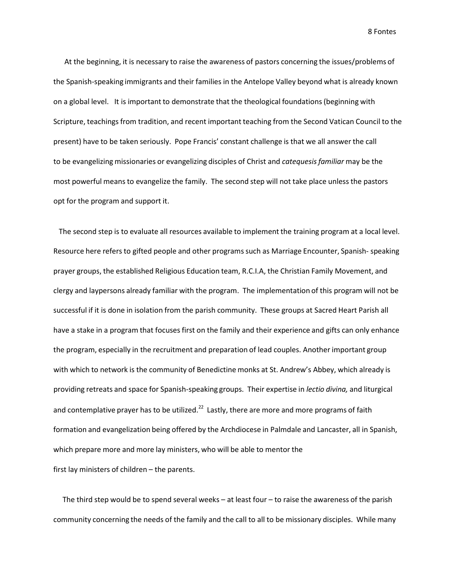At the beginning, it is necessary to raise the awareness of pastors concerning the issues/problems of the Spanish-speaking immigrants and their families in the Antelope Valley beyond what is already known on a global level. It is important to demonstrate that the theological foundations(beginning with Scripture, teachings from tradition, and recent important teaching from the Second Vatican Council to the present) have to be taken seriously. Pope Francis' constant challenge is that we all answer the call to be evangelizing missionaries or evangelizing disciples of Christ and *catequesisfamiliar* may be the most powerful means to evangelize the family. The second step will not take place unless the pastors opt for the program and support it.

The second step is to evaluate all resources available to implement the training program at a local level. Resource here refers to gifted people and other programssuch as Marriage Encounter, Spanish- speaking prayer groups, the established Religious Education team, R.C.I.A, the Christian Family Movement, and clergy and laypersons already familiar with the program. The implementation of this program will not be successful if it is done in isolation from the parish community. These groups at Sacred Heart Parish all have a stake in a program that focuses first on the family and their experience and gifts can only enhance the program, especially in the recruitment and preparation of lead couples. Another important group with which to network is the community of Benedictine monks at St. Andrew's Abbey, which already is providing retreats and space for Spanish-speaking groups. Their expertise in *lectio divina,* and liturgical and contemplative prayer has to be utilized.<sup>22</sup> Lastly, there are more and more programs of faith formation and evangelization being offered by the Archdiocese in Palmdale and Lancaster, all in Spanish, which prepare more and more lay ministers, who will be able to mentor the first lay ministers of children – the parents.

The third step would be to spend several weeks – at least four – to raise the awareness of the parish community concerning the needs of the family and the call to all to be missionary disciples. While many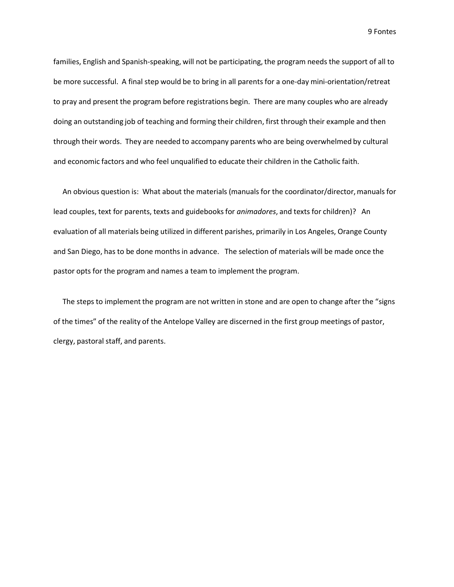families, English and Spanish-speaking, will not be participating, the program needs the support of all to be more successful. A final step would be to bring in all parents for a one-day mini-orientation/retreat to pray and present the program before registrations begin. There are many couples who are already doing an outstanding job of teaching and forming their children, first through their example and then through their words. They are needed to accompany parents who are being overwhelmed by cultural and economic factors and who feel unqualified to educate their children in the Catholic faith.

An obvious question is: What about the materials (manuals for the coordinator/director,manuals for lead couples, text for parents, texts and guidebooksfor *animadores*, and texts for children)? An evaluation of all materials being utilized in different parishes, primarily in Los Angeles, Orange County and San Diego, has to be done months in advance. The selection of materials will be made once the pastor opts for the program and names a team to implement the program.

The steps to implement the program are not written in stone and are open to change after the "signs of the times" of the reality of the Antelope Valley are discerned in the first group meetings of pastor, clergy, pastoral staff, and parents.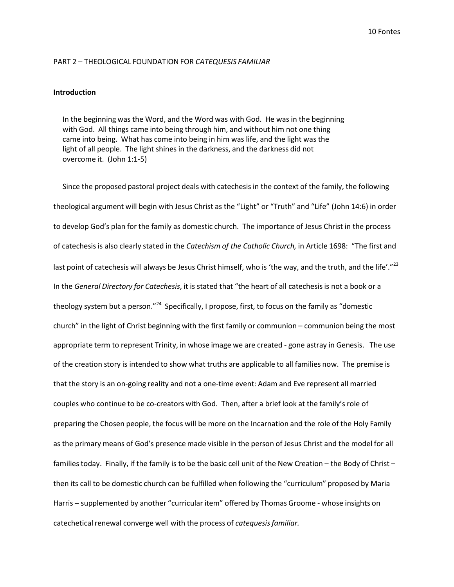#### PART 2 – THEOLOGICAL FOUNDATION FOR *CATEQUESIS FAMILIAR*

#### **Introduction**

In the beginning was the Word, and the Word was with God. He was in the beginning with God. All things came into being through him, and without him not one thing came into being. What has come into being in him was life, and the light was the light of all people. The light shines in the darkness, and the darkness did not overcome it. (John 1:1-5)

Since the proposed pastoral project deals with catechesis in the context of the family, the following theological argument will begin with Jesus Christ as the "Light" or "Truth" and "Life" (John 14:6) in order to develop God's plan for the family as domestic church. The importance of Jesus Christ in the process of catechesisis also clearly stated in the *Catechism of the Catholic Church,* in Article 1698: "The first and last point of catechesis will always be Jesus Christ himself, who is 'the way, and the truth, and the life'."<sup>23</sup> In the *General Directory for Catechesis*, it is stated that "the heart of all catechesisis not a book or a theology system but a person."<sup>24</sup> Specifically, I propose, first, to focus on the family as "domestic church" in the light of Christ beginning with the first family or communion – communion being the most appropriate term to represent Trinity, in whose image we are created - gone astray in Genesis. The use of the creation story is intended to show what truths are applicable to all families now. The premise is that the story is an on-going reality and not a one-time event: Adam and Eve represent all married couples who continue to be co-creators with God. Then, after a brief look at the family's role of preparing the Chosen people, the focus will be more on the Incarnation and the role of the Holy Family as the primary means of God's presence made visible in the person of Jesus Christ and the model for all familiestoday. Finally, if the family is to be the basic cell unit of the New Creation – the Body of Christ – then its call to be domestic church can be fulfilled when following the "curriculum" proposed by Maria Harris – supplemented by another "curricular item" offered by Thomas Groome - whose insights on catechetical renewal converge well with the process of *catequesis familiar*.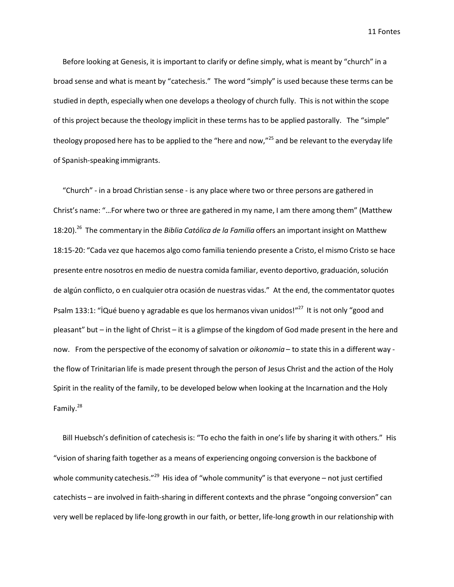Before looking at Genesis, it is important to clarify or define simply, what is meant by "church" in a broad sense and what is meant by "catechesis." The word "simply" is used because these terms can be studied in depth, especially when one develops a theology of church fully. This is not within the scope of this project because the theology implicit in these terms has to be applied pastorally. The "simple" theology proposed here has to be applied to the "here and now,"<sup>25</sup> and be relevant to the everyday life of Spanish-speaking immigrants.

"Church" - in a broad Christian sense - is any place where two or three persons are gathered in Christ's name: "…For where two or three are gathered in my name, I am there among them" (Matthew 18:20). 26 The commentary in the *Biblia Católica de la Familia* offers an important insight on Matthew 18:15-20: "Cada vez que hacemos algo como familia teniendo presente a Cristo, el mismo Cristo se hace presente entre nosotros en medio de nuestra comida familiar, evento deportivo, graduación, solución de algún conflicto, o en cualquier otra ocasión de nuestras vidas." At the end, the commentator quotes Psalm 133:1: "İQué bueno y agradable es que los hermanos vivan unidos!"<sup>27</sup> It is not only "good and pleasant" but – in the light of Christ – it is a glimpse of the kingdom of God made present in the here and now. From the perspective of the economy of salvation or *oikonomia* – to state this in a different way the flow of Trinitarian life is made present through the person of Jesus Christ and the action of the Holy Spirit in the reality of the family, to be developed below when looking at the Incarnation and the Holy Family.<sup>28</sup>

Bill Huebsch's definition of catechesis is: "To echo the faith in one's life by sharing it with others." His "vision of sharing faith together as a means of experiencing ongoing conversion is the backbone of whole community catechesis."<sup>29</sup> His idea of "whole community" is that everyone – not just certified catechists – are involved in faith-sharing in different contexts and the phrase "ongoing conversion" can very well be replaced by life-long growth in our faith, or better, life-long growth in our relationship with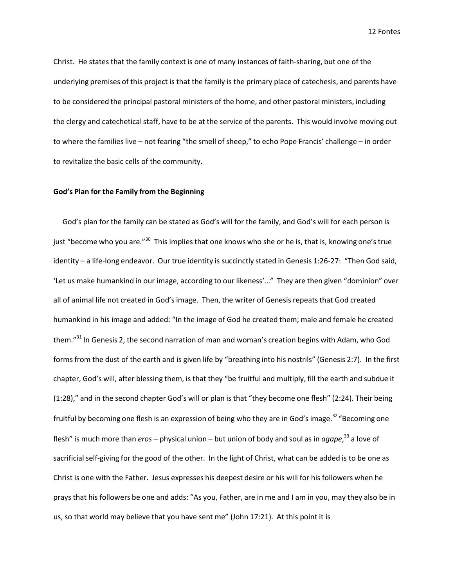Christ. He states that the family context is one of many instances of faith-sharing, but one of the underlying premises of this project is that the family is the primary place of catechesis, and parents have to be considered the principal pastoral ministers of the home, and other pastoral ministers, including the clergy and catechetical staff, have to be at the service of the parents. This would involve moving out to where the families live – not fearing "the smell of sheep," to echo Pope Francis' challenge – in order to revitalize the basic cells of the community.

## **God's Plan for the Family from the Beginning**

God's plan for the family can be stated as God's will for the family, and God's will for each person is just "become who you are."<sup>30</sup> This implies that one knows who she or he is, that is, knowing one's true identity – a life-long endeavor. Our true identity is succinctly stated in Genesis 1:26-27: "Then God said, 'Let us make humankind in our image, according to our likeness'…" They are then given "dominion" over all of animal life not created in God's image. Then, the writer of Genesis repeats that God created humankind in his image and added: "In the image of God he created them; male and female he created them."<sup>31</sup> In Genesis 2, the second narration of man and woman's creation begins with Adam, who God forms from the dust of the earth and is given life by "breathing into his nostrils" (Genesis 2:7). In the first chapter, God's will, after blessing them, is that they "be fruitful and multiply, fill the earth and subdue it (1:28)," and in the second chapter God's will or plan is that "they become one flesh" (2:24). Their being fruitful by becoming one flesh is an expression of being who they are in God's image.<sup>32</sup> "Becoming one flesh" is much more than *eros* – physical union – but union of body and soul as in *agape*,<sup>33</sup> a love of sacrificial self-giving for the good of the other. In the light of Christ, what can be added is to be one as Christ is one with the Father. Jesus expresses his deepest desire or his will for his followers when he prays that his followers be one and adds: "As you, Father, are in me and I am in you, may they also be in us, so that world may believe that you have sent me" (John 17:21). At this point it is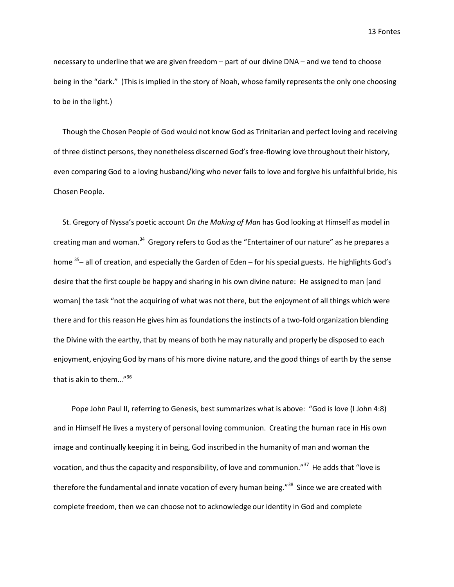necessary to underline that we are given freedom – part of our divine DNA – and we tend to choose being in the "dark." (This is implied in the story of Noah, whose family represents the only one choosing to be in the light.)

Though the Chosen People of God would not know God as Trinitarian and perfect loving and receiving of three distinct persons, they nonetheless discerned God's free-flowing love throughout their history, even comparing God to a loving husband/king who never fails to love and forgive his unfaithful bride, his Chosen People.

St. Gregory of Nyssa's poetic account *On the Making of Man* has God looking at Himself as model in creating man and woman.<sup>34</sup> Gregory refers to God as the "Entertainer of our nature" as he prepares a home <sup>35</sup>– all of creation, and especially the Garden of Eden – for his special guests. He highlights God's desire that the first couple be happy and sharing in his own divine nature: He assigned to man [and woman] the task "not the acquiring of what was not there, but the enjoyment of all things which were there and for this reason He gives him as foundations the instincts of a two-fold organization blending the Divine with the earthy, that by means of both he may naturally and properly be disposed to each enjoyment, enjoying God by mans of his more divine nature, and the good things of earth by the sense that is akin to them…" 36

Pope John Paul II, referring to Genesis, best summarizes what is above: "God is love (I John 4:8) and in Himself He lives a mystery of personal loving communion. Creating the human race in His own image and continually keeping it in being, God inscribed in the humanity of man and woman the vocation, and thus the capacity and responsibility, of love and communion."<sup>37</sup> He adds that "love is therefore the fundamental and innate vocation of every human being."<sup>38</sup> Since we are created with complete freedom, then we can choose not to acknowledge our identity in God and complete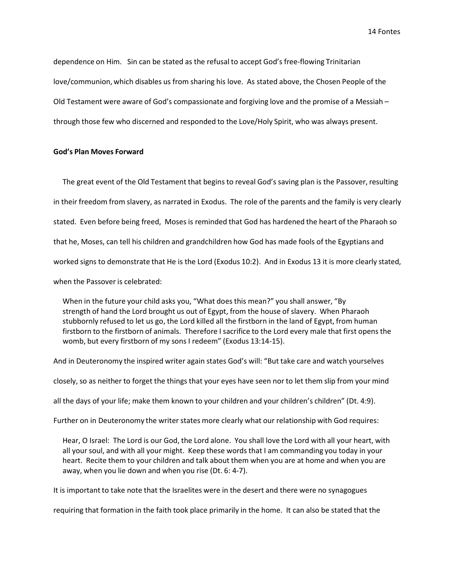dependence on Him. Sin can be stated as the refusal to accept God's free-flowing Trinitarian love/communion, which disables us from sharing his love. As stated above, the Chosen People of the Old Testament were aware of God's compassionate and forgiving love and the promise of a Messiah – through those few who discerned and responded to the Love/Holy Spirit, who was always present.

#### **God's Plan Moves Forward**

The great event of the Old Testament that begins to reveal God's saving plan is the Passover, resulting in their freedom from slavery, as narrated in Exodus. The role of the parents and the family is very clearly stated. Even before being freed, Moses is reminded that God has hardened the heart of the Pharaoh so that he, Moses, can tell his children and grandchildren how God has made fools of the Egyptians and worked signs to demonstrate that He is the Lord (Exodus 10:2). And in Exodus 13 it is more clearly stated, when the Passover is celebrated:

When in the future your child asks you, "What does this mean?" you shall answer, "By strength of hand the Lord brought us out of Egypt, from the house of slavery. When Pharaoh stubbornly refused to let us go, the Lord killed all the firstborn in the land of Egypt, from human firstborn to the firstborn of animals. Therefore I sacrifice to the Lord every male that first opens the womb, but every firstborn of my sons I redeem" (Exodus 13:14-15).

And in Deuteronomy the inspired writer again states God's will: "But take care and watch yourselves

closely, so as neither to forget the things that your eyes have seen nor to let them slip from your mind

all the days of your life; make them known to your children and your children's children" (Dt. 4:9).

Further on in Deuteronomy the writer states more clearly what our relationship with God requires:

Hear, O Israel: The Lord is our God, the Lord alone. You shall love the Lord with all your heart, with all your soul, and with all your might. Keep these words that I am commanding you today in your heart. Recite them to your children and talk about them when you are at home and when you are away, when you lie down and when you rise (Dt. 6: 4-7).

It is important to take note that the Israelites were in the desert and there were no synagogues

requiring that formation in the faith took place primarily in the home. It can also be stated that the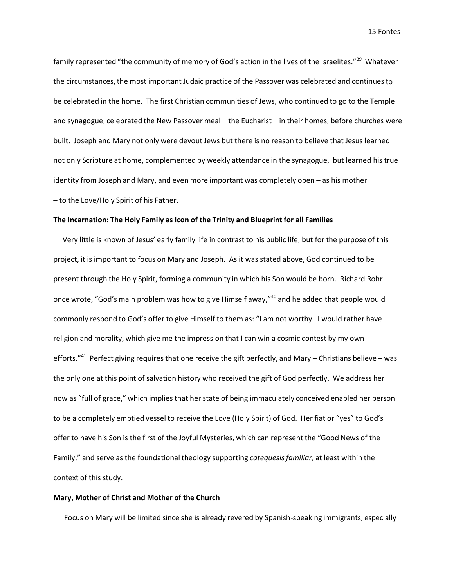family represented "the community of memory of God's action in the lives of the Israelites."<sup>39</sup> Whatever the circumstances, the most important Judaic practice of the Passover was celebrated and continues to be celebrated in the home. The first Christian communities of Jews, who continued to go to the Temple and synagogue, celebrated the New Passover meal – the Eucharist – in their homes, before churches were built. Joseph and Mary not only were devout Jews but there is no reason to believe that Jesus learned not only Scripture at home, complemented by weekly attendance in the synagogue, but learned his true identity from Joseph and Mary, and even more important was completely open – as his mother – to the Love/Holy Spirit of his Father.

#### **The Incarnation: The Holy Family as Icon of the Trinity and Blueprint for all Families**

Very little is known of Jesus' early family life in contrast to his public life, but for the purpose of this project, it is important to focus on Mary and Joseph. As it was stated above, God continued to be present through the Holy Spirit, forming a community in which his Son would be born. Richard Rohr once wrote, "God's main problem was how to give Himself away,"<sup>40</sup> and he added that people would commonly respond to God's offer to give Himself to them as: "I am not worthy. I would rather have religion and morality, which give me the impression that I can win a cosmic contest by my own efforts."<sup>41</sup> Perfect giving requires that one receive the gift perfectly, and Mary – Christians believe – was the only one at this point of salvation history who received the gift of God perfectly. We address her now as "full of grace," which implies that her state of being immaculately conceived enabled her person to be a completely emptied vessel to receive the Love (Holy Spirit) of God. Her fiat or "yes" to God's offer to have his Son is the first of the Joyful Mysteries, which can represent the "Good News of the Family," and serve as the foundational theology supporting *catequesisfamiliar*, at least within the context of this study.

# **Mary, Mother of Christ and Mother of the Church**

Focus on Mary will be limited since she is already revered by Spanish-speaking immigrants, especially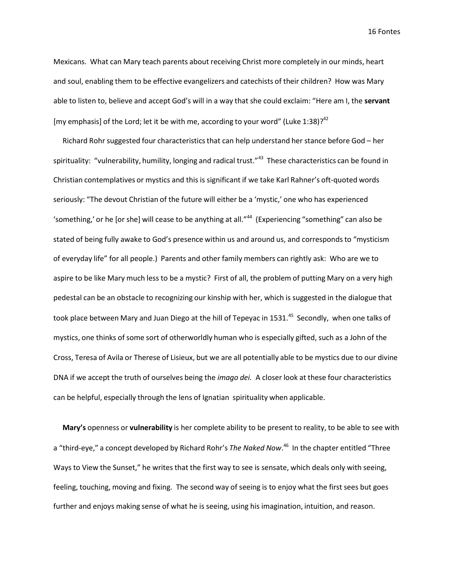Mexicans. What can Mary teach parents about receiving Christ more completely in our minds, heart and soul, enabling them to be effective evangelizers and catechists of their children? How was Mary able to listen to, believe and accept God's will in a way that she could exclaim: "Here am I, the **servant**  [my emphasis] of the Lord; let it be with me, according to your word" (Luke 1:38)?<sup>42</sup>

Richard Rohr suggested four characteristics that can help understand her stance before God - her spirituality: "vulnerability, humility, longing and radical trust."<sup>43</sup> These characteristics can be found in Christian contemplatives or mystics and this is significant if we take Karl Rahner's oft-quoted words seriously: "The devout Christian of the future will either be a 'mystic,' one who has experienced 'something,' or he [or she] will cease to be anything at all."<sup>44</sup> (Experiencing "something" can also be stated of being fully awake to God's presence within us and around us, and corresponds to "mysticism" of everyday life" for all people.) Parents and other family members can rightly ask: Who are we to aspire to be like Mary much less to be a mystic? First of all, the problem of putting Mary on a very high pedestal can be an obstacle to recognizing our kinship with her, which is suggested in the dialogue that took place between Mary and Juan Diego at the hill of Tepeyac in 1531.<sup>45</sup> Secondly, when one talks of mystics, one thinks of some sort of otherworldly human who is especially gifted, such as a John of the Cross, Teresa of Avila or Therese of Lisieux, but we are all potentially able to be mystics due to our divine DNA if we accept the truth of ourselves being the *imago dei.* A closer look at these four characteristics can be helpful, especially through the lens of Ignatian spirituality when applicable.

**Mary's** openness or **vulnerability** is her complete ability to be present to reality, to be able to see with a "third-eye," a concept developed by Richard Rohr's *The Naked Now*. 46 In the chapter entitled "Three Ways to View the Sunset," he writes that the first way to see is sensate, which deals only with seeing, feeling, touching, moving and fixing. The second way of seeing is to enjoy what the first sees but goes further and enjoys making sense of what he is seeing, using his imagination, intuition, and reason.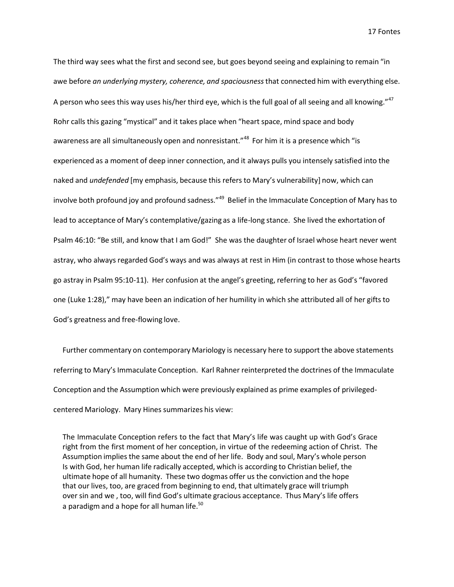The third way sees what the first and second see, but goes beyond seeing and explaining to remain "in awe before *an underlying mystery, coherence, and spaciousness*that connected him with everything else. A person who sees this way uses his/her third eye, which is the full goal of all seeing and all knowing."<sup>47</sup> Rohr calls this gazing "mystical" and it takes place when "heart space, mind space and body awareness are all simultaneously open and nonresistant."<sup>48</sup> For him it is a presence which "is experienced as a moment of deep inner connection, and it always pulls you intensely satisfied into the naked and *undefended* [my emphasis, because this refers to Mary's vulnerability] now, which can involve both profound joy and profound sadness."49 Belief in the Immaculate Conception of Mary has to lead to acceptance of Mary's contemplative/gazing as a life-long stance. She lived the exhortation of Psalm 46:10: "Be still, and know that I am God!" She was the daughter of Israel whose heart never went astray, who always regarded God's ways and was always at rest in Him (in contrast to those whose hearts go astray in Psalm 95:10-11). Her confusion at the angel's greeting, referring to her as God's "favored one (Luke 1:28)," may have been an indication of her humility in which she attributed all of her gifts to God's greatness and free-flowing love.

Further commentary on contemporary Mariology is necessary here to support the above statements referring to Mary's Immaculate Conception. Karl Rahner reinterpreted the doctrines of the Immaculate Conception and the Assumption which were previously explained as prime examples of privilegedcentered Mariology. Mary Hines summarizes his view:

The Immaculate Conception refers to the fact that Mary's life was caught up with God's Grace right from the first moment of her conception, in virtue of the redeeming action of Christ. The Assumption implies the same about the end of her life. Body and soul, Mary's whole person Is with God, her human life radically accepted, which is according to Christian belief, the ultimate hope of all humanity. These two dogmas offer us the conviction and the hope that our lives, too, are graced from beginning to end, that ultimately grace will triumph over sin and we , too, will find God's ultimate gracious acceptance. Thus Mary's life offers a paradigm and a hope for all human life.<sup>50</sup>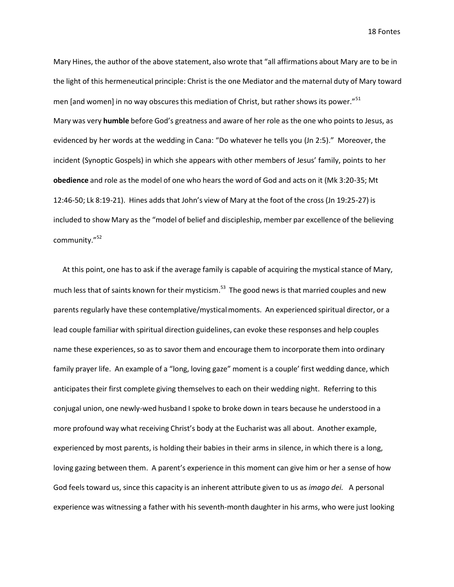Mary Hines, the author of the above statement, also wrote that "all affirmations about Mary are to be in the light of this hermeneutical principle: Christ is the one Mediator and the maternal duty of Mary toward men [and women] in no way obscures this mediation of Christ, but rather shows its power."<sup>51</sup> Mary was very **humble** before God's greatness and aware of her role as the one who points to Jesus, as evidenced by her words at the wedding in Cana: "Do whatever he tells you (Jn 2:5)." Moreover, the incident (Synoptic Gospels) in which she appears with other members of Jesus' family, points to her **obedience** and role as the model of one who hears the word of God and acts on it (Mk 3:20-35; Mt 12:46-50; Lk 8:19-21). Hines adds that John's view of Mary at the foot of the cross (Jn 19:25-27) is included to show Mary as the "model of belief and discipleship, member par excellence of the believing community." 52

At this point, one has to ask if the average family is capable of acquiring the mystical stance of Mary, much less that of saints known for their mysticism.<sup>53</sup> The good news is that married couples and new parents regularly have these contemplative/mystical moments. An experienced spiritual director, or a lead couple familiar with spiritual direction guidelines, can evoke these responses and help couples name these experiences, so as to savor them and encourage them to incorporate them into ordinary family prayer life. An example of a "long, loving gaze" moment is a couple' first wedding dance, which anticipates their first complete giving themselves to each on their wedding night. Referring to this conjugal union, one newly-wed husband I spoke to broke down in tears because he understood in a more profound way what receiving Christ's body at the Eucharist was all about. Another example, experienced by most parents, is holding their babies in their arms in silence, in which there is a long, loving gazing between them. A parent's experience in this moment can give him or her a sense of how God feels toward us, since this capacity is an inherent attribute given to us as *imago dei.* A personal experience was witnessing a father with his seventh-month daughter in his arms, who were just looking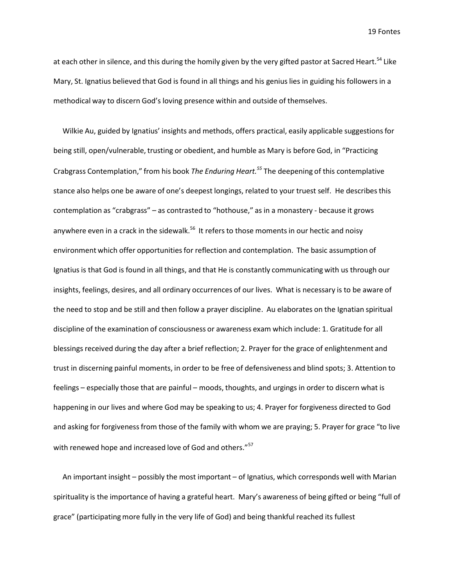at each other in silence, and this during the homily given by the very gifted pastor at Sacred Heart.<sup>54</sup> Like Mary, St. Ignatius believed that God is found in all things and his genius lies in guiding his followers in a methodical way to discern God's loving presence within and outside of themselves.

Wilkie Au, guided by Ignatius' insights and methods, offers practical, easily applicable suggestionsfor being still, open/vulnerable, trusting or obedient, and humble as Mary is before God, in "Practicing Crabgrass Contemplation," from his book *The Enduring Heart. <sup>55</sup>* The deepening of this contemplative stance also helps one be aware of one's deepest longings, related to your truest self. He describesthis contemplation as "crabgrass" – as contrasted to "hothouse," as in a monastery - because it grows anywhere even in a crack in the sidewalk.<sup>56</sup> It refers to those moments in our hectic and noisy environment which offer opportunities for reflection and contemplation. The basic assumption of Ignatius is that God is found in all things, and that He is constantly communicating with us through our insights, feelings, desires, and all ordinary occurrences of our lives. What is necessary is to be aware of the need to stop and be still and then follow a prayer discipline. Au elaborates on the Ignatian spiritual discipline of the examination of consciousness or awareness exam which include: 1. Gratitude for all blessings received during the day after a brief reflection; 2. Prayer for the grace of enlightenment and trust in discerning painful moments, in order to be free of defensiveness and blind spots; 3. Attention to feelings – especially those that are painful – moods, thoughts, and urgings in order to discern what is happening in our lives and where God may be speaking to us; 4. Prayer for forgiveness directed to God and asking for forgiveness from those of the family with whom we are praying; 5. Prayer for grace "to live with renewed hope and increased love of God and others."<sup>57</sup>

An important insight – possibly the most important – of Ignatius, which corresponds well with Marian spirituality is the importance of having a grateful heart. Mary's awareness of being gifted or being "full of grace" (participatingmore fully in the very life of God) and being thankful reached its fullest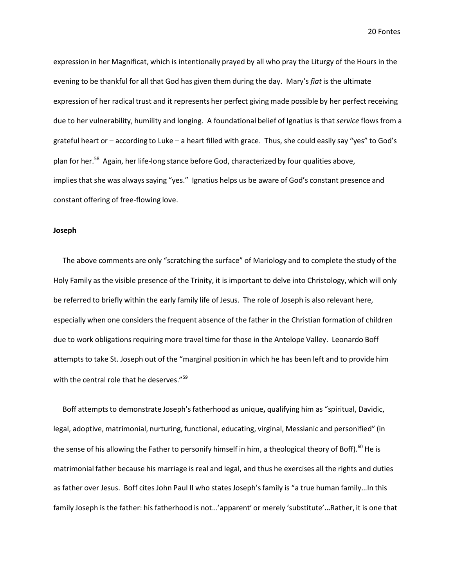expression in her Magnificat, which is intentionally prayed by all who pray the Liturgy of the Hours in the evening to be thankful for all that God has given them during the day. Mary's *fiat* is the ultimate expression of her radical trust and it represents her perfect giving made possible by her perfect receiving due to her vulnerability, humility and longing. A foundational belief of Ignatius is that *service* flowsfrom a grateful heart or – according to Luke – a heart filled with grace. Thus, she could easily say "yes" to God's plan for her.<sup>58</sup> Again, her life-long stance before God, characterized by four qualities above, implies that she was always saying "yes." Ignatius helps us be aware of God's constant presence and constant offering of free-flowing love.

#### **Joseph**

The above comments are only "scratching the surface" of Mariology and to complete the study of the Holy Family as the visible presence of the Trinity, it is important to delve into Christology, which will only be referred to briefly within the early family life of Jesus. The role of Joseph is also relevant here, especially when one considers the frequent absence of the father in the Christian formation of children due to work obligations requiring more travel time for those in the Antelope Valley. Leonardo Boff attempts to take St. Joseph out of the "marginal position in which he has been left and to provide him with the central role that he deserves."<sup>59</sup>

Boff attempts to demonstrate Joseph's fatherhood as unique, qualifying him as "spiritual, Davidic, legal, adoptive, matrimonial, nurturing, functional, educating, virginal, Messianic and personified" (in the sense of his allowing the Father to personify himself in him, a theological theory of Boff).<sup>60</sup> He is matrimonial father because his marriage is real and legal, and thus he exercises all the rights and duties as father over Jesus. Boff cites John Paul II who states Joseph's family is "a true human family... In this family Joseph is the father: his fatherhood is not…'apparent' or merely 'substitute'**…**Rather, it is one that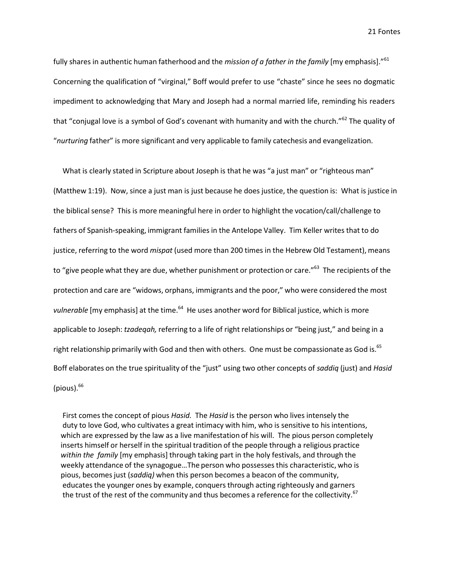fully shares in authentic human fatherhood and the *mission of a father in the family* [my emphasis]." 61 Concerning the qualification of "virginal," Boff would prefer to use "chaste" since he sees no dogmatic impediment to acknowledging that Mary and Joseph had a normal married life, reminding his readers that "conjugal love is a symbol of God's covenant with humanity and with the church."<sup>62</sup> The quality of "*nurturing* father" is more significant and very applicable to family catechesis and evangelization.

What is clearly stated in Scripture about Joseph is that he was "a just man" or "righteous man" (Matthew 1:19). Now, since a just man is just because he does justice, the question is: What is justice in the biblical sense? This is more meaningful here in order to highlight the vocation/call/challenge to fathers of Spanish-speaking, immigrant families in the Antelope Valley. Tim Keller writes that to do justice, referring to the word *mispat* (used more than 200 times in the Hebrew Old Testament), means to "give people what they are due, whether punishment or protection or care."<sup>63</sup> The recipients of the protection and care are "widows, orphans, immigrants and the poor," who were considered the most vulnerable [my emphasis] at the time.<sup>64</sup> He uses another word for Biblical justice, which is more applicable to Joseph: *tzadeqah,* referring to a life of right relationships or "being just," and being in a right relationship primarily with God and then with others. One must be compassionate as God is. $^{65}$ Boff elaborates on the true spirituality of the "just" using two other concepts of *saddiq* (just) and *Hasid* (pious). $66$ 

First comes the concept of pious *Hasid.* The *Hasid* is the person who lives intensely the duty to love God, who cultivates a great intimacy with him, who is sensitive to his intentions, which are expressed by the law as a live manifestation of his will. The pious person completely inserts himself or herself in the spiritual tradition of the people through a religious practice *within the family* [my emphasis] through taking part in the holy festivals, and through the weekly attendance of the synagogue…The person who possessesthis characteristic, who is pious, becomesjust (*saddiq)* when this person becomes a beacon of the community, educates the younger ones by example, conquers through acting righteously and garners the trust of the rest of the community and thus becomes a reference for the collectivity.<sup>67</sup>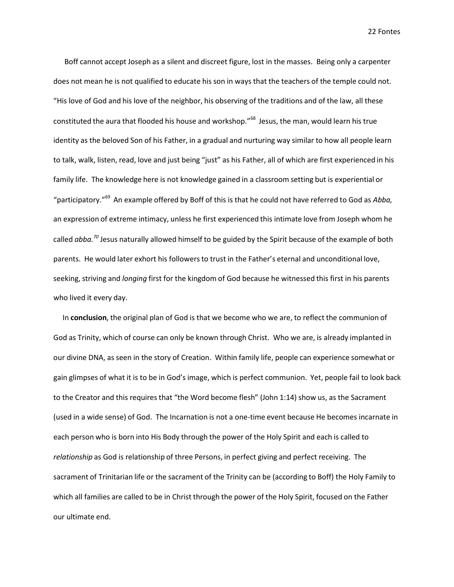Boff cannot accept Joseph as a silent and discreet figure, lost in the masses. Being only a carpenter does not mean he is not qualified to educate his son in ways that the teachers of the temple could not. "His love of God and his love of the neighbor, his observing of the traditions and of the law, all these constituted the aura that flooded his house and workshop." 68 Jesus, the man, would learn his true identity as the beloved Son of his Father, in a gradual and nurturing way similar to how all people learn to talk, walk, listen, read, love and just being "just" as his Father, all of which are first experienced in his family life. The knowledge here is not knowledge gained in a classroom setting but is experiential or "participatory." 69 An example offered by Boff of this is that he could not have referred to God as *Abba,*  an expression of extreme intimacy, unless he first experienced this intimate love from Joseph whom he called *abba. <sup>70</sup>* Jesus naturally allowed himself to be guided by the Spirit because of the example of both parents. He would later exhort his followersto trust in the Father's eternal and unconditional love, seeking, striving and *longing* first for the kingdom of God because he witnessed this first in his parents who lived it every day.

In **conclusion**, the original plan of God is that we become who we are, to reflect the communion of God as Trinity, which of course can only be known through Christ. Who we are, is already implanted in our divine DNA, as seen in the story of Creation. Within family life, people can experience somewhat or gain glimpses of what it is to be in God's image, which is perfect communion. Yet, people fail to look back to the Creator and this requires that "the Word become flesh" (John 1:14) show us, as the Sacrament (used in a wide sense) of God. The Incarnation is not a one-time event because He becomes incarnate in each person who is born into His Body through the power of the Holy Spirit and each is called to *relationship* as God is relationship of three Persons, in perfect giving and perfect receiving. The sacrament of Trinitarian life or the sacrament of the Trinity can be (according to Boff) the Holy Family to which all families are called to be in Christ through the power of the Holy Spirit, focused on the Father our ultimate end.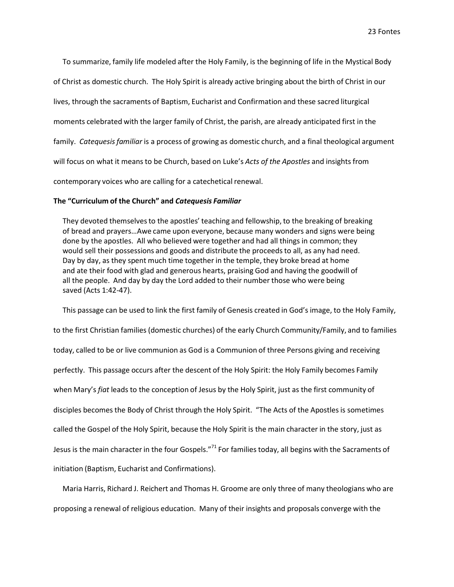To summarize, family life modeled after the Holy Family, is the beginning of life in the Mystical Body of Christ as domestic church. The Holy Spirit is already active bringing about the birth of Christ in our lives, through the sacraments of Baptism, Eucharist and Confirmation and these sacred liturgical moments celebrated with the larger family of Christ, the parish, are already anticipated first in the family. *Catequesisfamiliar* is a process of growing as domestic church, and a final theological argument will focus on what it means to be Church, based on Luke's *Acts of the Apostles* and insights from contemporary voices who are calling for a catechetical renewal.

#### **The "Curriculum of the Church" and** *Catequesis Familiar*

They devoted themselves to the apostles' teaching and fellowship, to the breaking of breaking of bread and prayers…Awe came upon everyone, because many wonders and signs were being done by the apostles. All who believed were together and had all things in common; they would sell their possessions and goods and distribute the proceedsto all, as any had need. Day by day, as they spent much time together in the temple, they broke bread at home and ate their food with glad and generous hearts, praising God and having the goodwill of all the people. And day by day the Lord added to their number those who were being saved (Acts 1:42-47).

This passage can be used to link the first family of Genesis created in God's image, to the Holy Family, to the first Christian families (domestic churches) of the early Church Community/Family, and to families today, called to be or live communion as God is a Communion of three Persons giving and receiving perfectly. This passage occurs after the descent of the Holy Spirit: the Holy Family becomes Family when Mary's *fiat* leads to the conception of Jesus by the Holy Spirit, just as the first community of disciples becomesthe Body of Christ through the Holy Spirit. "The Acts of the Apostlesis sometimes called the Gospel of the Holy Spirit, because the Holy Spirit is the main character in the story, just as Jesus is the main character in the four Gospels."<sup>71</sup> For families today, all begins with the Sacraments of initiation (Baptism, Eucharist and Confirmations).

Maria Harris, Richard J. Reichert and Thomas H. Groome are only three of many theologians who are proposing a renewal of religious education. Many of their insights and proposals converge with the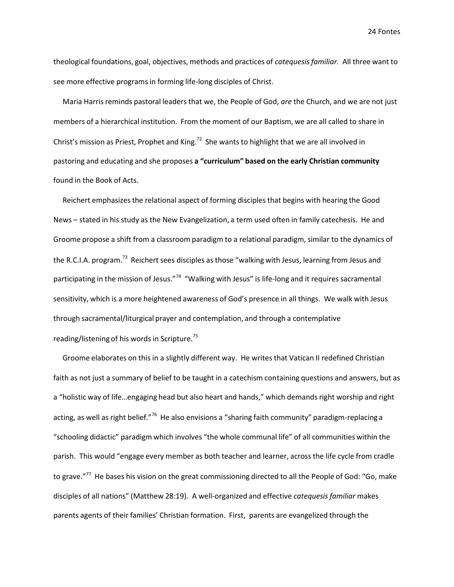theological foundations, goal, objectives, methods and practices of *catequesisfamiliar.* All three want to see more effective programs in forming life-long disciples of Christ.

Maria Harris reminds pastoral leaders that we, the People of God, *are* the Church, and we are not just members of a hierarchical institution. From the moment of our Baptism, we are all called to share in Christ's mission as Priest, Prophet and King.<sup>72</sup> She wants to highlight that we are all involved in pastoring and educating and she proposes **a "curriculum" based on the early Christian community**  found in the Book of Acts.

Reichert emphasizesthe relational aspect of forming disciples that begins with hearing the Good News – stated in his study as the New Evangelization, a term used often in family catechesis. He and Groome propose a shift from a classroom paradigm to a relational paradigm, similar to the dynamics of the R.C.I.A. program.<sup>73</sup> Reichert sees disciples as those "walking with Jesus, learning from Jesus and participating in the mission of Jesus."<sup>74</sup> "Walking with Jesus" is life-long and it requires sacramental sensitivity, which is a more heightened awareness of God's presence in all things. We walk with Jesus through sacramental/liturgical prayer and contemplation, and through a contemplative reading/listening of his words in Scripture. 75

Groome elaborates on this in a slightly different way. He writes that Vatican II redefined Christian faith as not just a summary of belief to be taught in a catechism containing questions and answers, but as a "holistic way of life…engaging head but also heart and hands," which demands right worship and right acting, as well as right belief."<sup>76</sup> He also envisions a "sharing faith community" paradigm-replacing a "schooling didactic" paradigm which involves "the whole communal life" of all communities within the parish. This would "engage every member as both teacher and learner, across the life cycle from cradle to grave."<sup>77</sup> He bases his vision on the great commissioning directed to all the People of God: "Go, make disciples of all nations" (Matthew 28:19). A well-organized and effective *catequesisfamiliar* makes parents agents of their families' Christian formation. First, parents are evangelized through the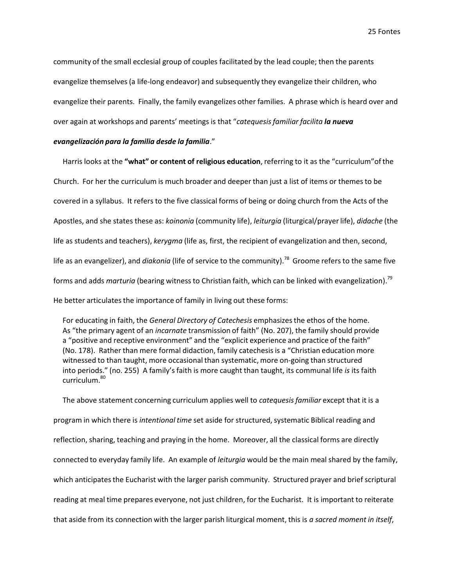community of the small ecclesial group of couples facilitated by the lead couple; then the parents evangelize themselves(a life-long endeavor) and subsequently they evangelize their children, who evangelize their parents. Finally, the family evangelizes other families. A phrase which is heard over and over again at workshops and parents' meetings is that "*catequesisfamiliar facilita la nueva* 

#### *evangelización para la familia desde la familia*."

Harris looks at the **"what" or content of religious education**, referring to it as the "curriculum"ofthe Church. For her the curriculum is much broader and deeper than just a list of items or themesto be covered in a syllabus. It refers to the five classical forms of being or doing church from the Acts of the Apostles, and she states these as: *koinonia* (community life), *leiturgia* (liturgical/prayerlife), *didache* (the life as students and teachers), *kerygma* (life as, first, the recipient of evangelization and then, second, life as an evangelizer), and *diakonia* (life of service to the community). 78 Groome refers to the same five forms and adds *marturia* (bearing witness to Christian faith, which can be linked with evangelization). 79 He better articulates the importance of family in living out these forms:

For educating in faith, the *General Directory of Catechesis* emphasizesthe ethos of the home. As "the primary agent of an *incarnate* transmission of faith" (No. 207), the family should provide a "positive and receptive environment" and the "explicit experience and practice of the faith" (No. 178). Rather than mere formal didaction, family catechesisis a "Christian education more witnessed to than taught, more occasional than systematic, more on-going than structured into periods." (no. 255) A family's faith is more caught than taught, its communal life *is* its faith curriculum.<sup>80</sup>

The above statement concerning curriculum applies well to *catequesisfamiliar* except that it is a program in which there is *intentional time* set aside for structured, systematic Biblical reading and reflection, sharing, teaching and praying in the home. Moreover, all the classical forms are directly connected to everyday family life. An example of *leiturgia* would be the main meal shared by the family, which anticipates the Eucharist with the larger parish community. Structured prayer and brief scriptural reading at meal time prepares everyone, not just children, for the Eucharist. It is important to reiterate that aside from its connection with the larger parish liturgical moment, this is *a sacred moment in itself*,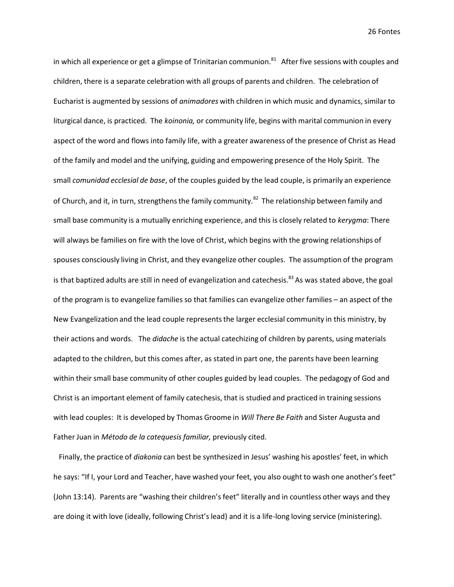in which all experience or get a glimpse of Trinitarian communion.<sup>81</sup> After five sessions with couples and children, there is a separate celebration with all groups of parents and children. The celebration of Eucharist is augmented by sessions of *animadores* with children in which music and dynamics,similar to liturgical dance, is practiced. The *koinonia,* or community life, begins with marital communion in every aspect of the word and flows into family life, with a greater awareness of the presence of Christ as Head of the family and model and the unifying, guiding and empowering presence of the Holy Spirit. The small *comunidad ecclesial de base*, of the couples guided by the lead couple, is primarily an experience of Church, and it, in turn, strengthens the family community.<sup>82</sup> The relationship between family and small base community is a mutually enriching experience, and this is closely related to *kerygma*: There will always be families on fire with the love of Christ, which begins with the growing relationships of spouses consciously living in Christ, and they evangelize other couples. The assumption of the program is that baptized adults are still in need of evangelization and catechesis.<sup>83</sup> As was stated above, the goal of the program is to evangelize families so that families can evangelize other families – an aspect of the New Evangelization and the lead couple represents the larger ecclesial community in this ministry, by their actions and words. The *didache* is the actual catechizing of children by parents, using materials adapted to the children, but this comes after, as stated in part one, the parents have been learning within their small base community of other couples guided by lead couples. The pedagogy of God and Christ is an important element of family catechesis, that is studied and practiced in training sessions with lead couples: It is developed by Thomas Groome in *Will There Be Faith* and Sister Augusta and Father Juan in *Método de la catequesis familiar,* previously cited.

Finally, the practice of *diakonia* can best be synthesized in Jesus' washing his apostles' feet, in which he says: "If I, your Lord and Teacher, have washed your feet, you also ought to wash one another's feet" (John 13:14). Parents are "washing their children's feet" literally and in countless other ways and they are doing it with love (ideally, following Christ's lead) and it is a life-long loving service (ministering).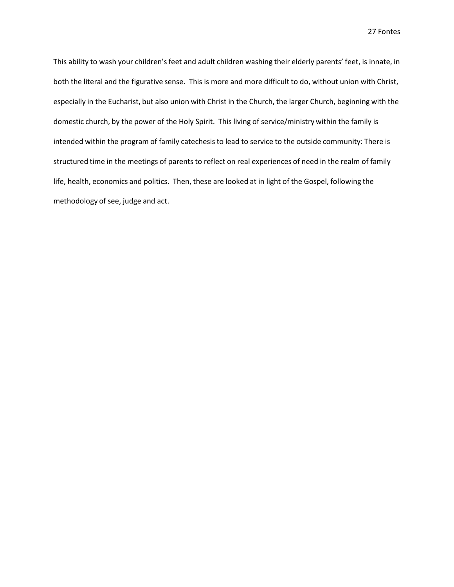This ability to wash your children's feet and adult children washing their elderly parents' feet, is innate, in both the literal and the figurative sense. This is more and more difficult to do, without union with Christ, especially in the Eucharist, but also union with Christ in the Church, the larger Church, beginning with the domestic church, by the power of the Holy Spirit. This living of service/ministry within the family is intended within the program of family catechesis to lead to service to the outside community: There is structured time in the meetings of parents to reflect on real experiences of need in the realm of family life, health, economics and politics. Then, these are looked at in light of the Gospel, following the methodology of see, judge and act.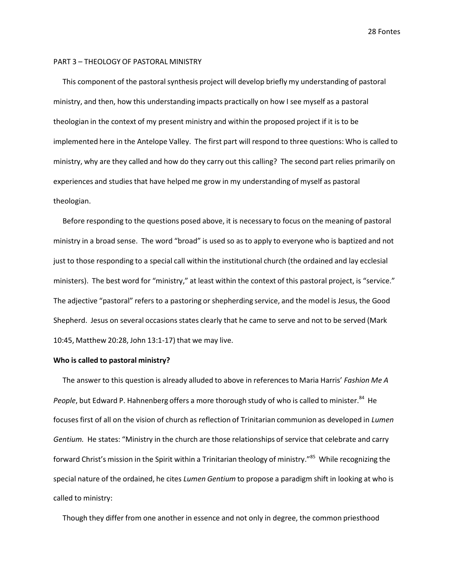#### PART 3 – THEOLOGY OF PASTORAL MINISTRY

This component of the pastoral synthesis project will develop briefly my understanding of pastoral ministry, and then, how this understanding impacts practically on how I see myself as a pastoral theologian in the context of my present ministry and within the proposed project if it is to be implemented here in the Antelope Valley. The first part will respond to three questions: Who is called to ministry, why are they called and how do they carry out this calling? The second part relies primarily on experiences and studies that have helped me grow in my understanding of myself as pastoral theologian.

Before responding to the questions posed above, it is necessary to focus on the meaning of pastoral ministry in a broad sense. The word "broad" is used so as to apply to everyone who is baptized and not just to those responding to a special call within the institutional church (the ordained and lay ecclesial ministers). The best word for "ministry," at least within the context of this pastoral project, is "service." The adjective "pastoral" refers to a pastoring or shepherding service, and the model is Jesus, the Good Shepherd. Jesus on several occasions states clearly that he came to serve and not to be served (Mark 10:45, Matthew 20:28, John 13:1-17) that we may live.

#### **Who is called to pastoral ministry?**

The answer to this question is already alluded to above in referencesto Maria Harris' *Fashion Me A*  People, but Edward P. Hahnenberg offers a more thorough study of who is called to minister.<sup>84</sup> He focuses first of all on the vision of church as reflection of Trinitarian communion as developed in *Lumen Gentium.* He states: "Ministry in the church are those relationships of service that celebrate and carry forward Christ's mission in the Spirit within a Trinitarian theology of ministry." 85 While recognizing the special nature of the ordained, he cites *Lumen Gentium* to propose a paradigm shift in looking at who is called to ministry:

Though they differ from one another in essence and not only in degree, the common priesthood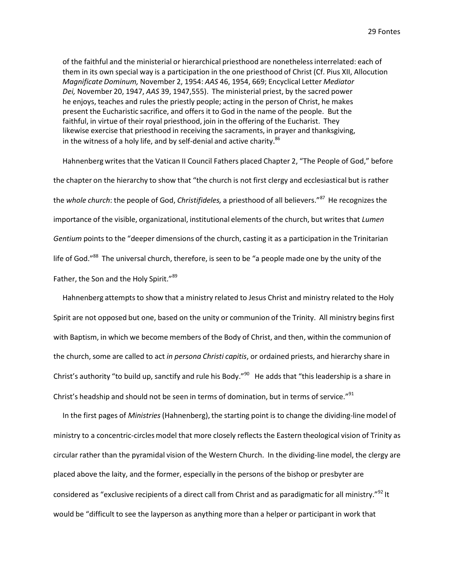of the faithful and the ministerial or hierarchical priesthood are nonethelessinterrelated: each of them in its own special way is a participation in the one priesthood of Christ (Cf. Pius XII, Allocution *Magnificate Dominum,* November 2, 1954: *AAS* 46, 1954, 669; Encyclical Letter *Mediator Dei,* November 20, 1947, *AAS* 39, 1947,555). The ministerial priest, by the sacred power he enjoys, teaches and rules the priestly people; acting in the person of Christ, he makes present the Eucharistic sacrifice, and offers it to God in the name of the people. But the faithful, in virtue of their royal priesthood, join in the offering of the Eucharist. They likewise exercise that priesthood in receiving the sacraments, in prayer and thanksgiving, in the witness of a holy life, and by self-denial and active charity.<sup>86</sup>

Hahnenberg writes that the Vatican II Council Fathers placed Chapter 2, "The People of God," before the chapter on the hierarchy to show that "the church is not first clergy and ecclesiastical but is rather the *whole church*: the people of God, *Christifideles,* a priesthood of all believers." 87 He recognizes the importance of the visible, organizational, institutional elements of the church, but writes that *Lumen Gentium* points to the "deeper dimensions of the church, casting it as a participation in the Trinitarian life of God."<sup>88</sup> The universal church, therefore, is seen to be "a people made one by the unity of the Father, the Son and the Holy Spirit."<sup>89</sup>

Hahnenberg attempts to show that a ministry related to Jesus Christ and ministry related to the Holy Spirit are not opposed but one, based on the unity or communion of the Trinity. All ministry begins first with Baptism, in which we become members of the Body of Christ, and then, within the communion of the church, some are called to act *in persona Christi capitis*, or ordained priests, and hierarchy share in Christ's authority "to build up, sanctify and rule his Body."<sup>90</sup> He adds that "this leadership is a share in Christ's headship and should not be seen in terms of domination, but in terms of service."<sup>91</sup>

In the first pages of *Ministries* (Hahnenberg), the starting point is to change the dividing-line model of ministry to a concentric-circlesmodel that more closely reflects the Eastern theological vision of Trinity as circular rather than the pyramidal vision of the Western Church. In the dividing-line model, the clergy are placed above the laity, and the former, especially in the persons of the bishop or presbyter are considered as "exclusive recipients of a direct call from Christ and as paradigmatic for all ministry."<sup>92</sup> It would be "difficult to see the layperson as anything more than a helper or participant in work that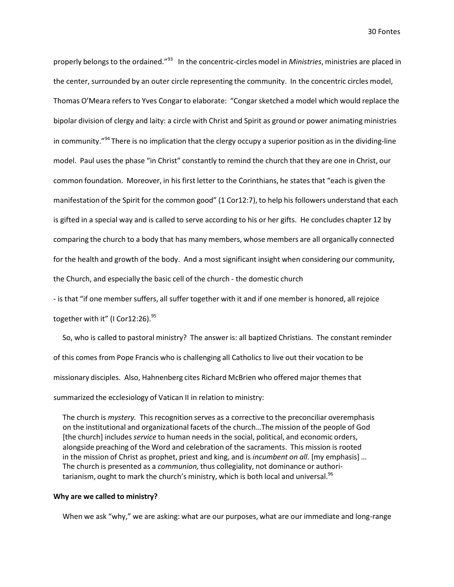properly belongs to the ordained."<sup>93</sup> In the concentric-circles model in *Ministries*, ministries are placed in the center, surrounded by an outer circle representing the community. In the concentric circles model, Thomas O'Meara refers to Yves Congar to elaborate: "Congarsketched a model which would replace the bipolar division of clergy and laity: a circle with Christ and Spirit as ground or power animating ministries in community."<sup>94</sup> There is no implication that the clergy occupy a superior position as in the dividing-line model. Paul uses the phase "in Christ" constantly to remind the church that they are one in Christ, our common foundation. Moreover, in his first letter to the Corinthians, he states that "each is given the manifestation of the Spirit for the common good" (1 Cor12:7), to help his followers understand that each is gifted in a special way and is called to serve according to his or her gifts. He concludes chapter 12 by comparing the church to a body that has many members, whose members are all organically connected for the health and growth of the body. And a most significant insight when considering our community, the Church, and especially the basic cell of the church - the domestic church

- is that "if one membersuffers, all suffer together with it and if one member is honored, all rejoice

together with it" (I Cor12:26).<sup>95</sup>

So, who is called to pastoral ministry? The answer is: all baptized Christians. The constant reminder of this comes from Pope Francis who is challenging all Catholicsto live out their vocation to be missionary disciples. Also, Hahnenberg cites Richard McBrien who offered major themes that summarized the ecclesiology of Vatican II in relation to ministry:

The church is *mystery.* This recognition serves as a corrective to the preconciliar overemphasis on the institutional and organizational facets of the church…The mission of the people of God [the church] includes *service* to human needs in the social, political, and economic orders, alongside preaching of the Word and celebration of the sacraments. This mission is rooted in the mission of Christ as prophet, priest and king, and is *incumbent on all*. [my emphasis] … The church is presented as a *communion,* thus collegiality, not dominance or authoritarianism, ought to mark the church's ministry, which is both local and universal.<sup>96</sup>

#### **Why are we called to ministry?**

When we ask "why," we are asking: what are our purposes, what are our immediate and long-range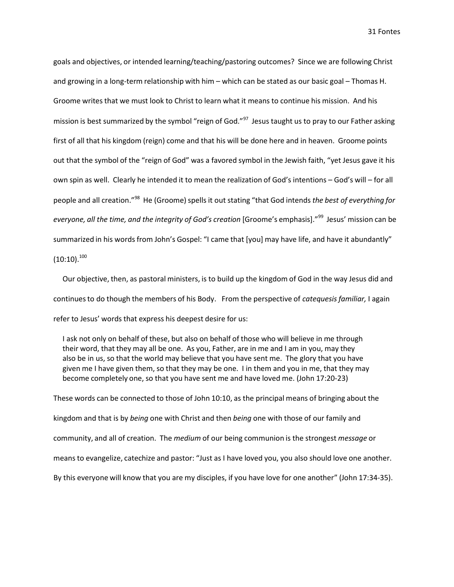goals and objectives, or intended learning/teaching/pastoring outcomes? Since we are following Christ and growing in a long-term relationship with him – which can be stated as our basic goal – Thomas H. Groome writes that we must look to Christ to learn what it means to continue his mission. And his mission is best summarized by the symbol "reign of God."<sup>97</sup> Jesus taught us to pray to our Father asking first of all that his kingdom (reign) come and that his will be done here and in heaven. Groome points out that the symbol of the "reign of God" was a favored symbol in the Jewish faith, "yet Jesus gave it his own spin as well. Clearly he intended it to mean the realization of God's intentions – God's will – for all people and all creation." 98 He (Groome)spells it out stating "that God intends *the best of everything for everyone, all the time, and the integrity of God's creation* [Groome's emphasis]." 99 Jesus' mission can be summarized in his words from John's Gospel: "I came that [you] may have life, and have it abundantly"  $(10:10).^{100}$ 

Our objective, then, as pastoral ministers, is to build up the kingdom of God in the way Jesus did and continuesto do though the members of his Body. From the perspective of *catequesisfamiliar,* I again refer to Jesus' words that express his deepest desire for us:

I ask not only on behalf of these, but also on behalf of those who will believe in me through their word, that they may all be one. As you, Father, are in me and I am in you, may they also be in us, so that the world may believe that you have sent me. The glory that you have given me I have given them, so that they may be one. I in them and you in me, that they may become completely one, so that you have sent me and have loved me. (John 17:20-23)

These words can be connected to those of John 10:10, as the principal means of bringing about the kingdom and that is by *being* one with Christ and then *being* one with those of our family and community, and all of creation. The *medium* of our being communion is the strongest *message* or means to evangelize, catechize and pastor: "Just as I have loved you, you also should love one another. By this everyone will know that you are my disciples, if you have love for one another" (John 17:34-35).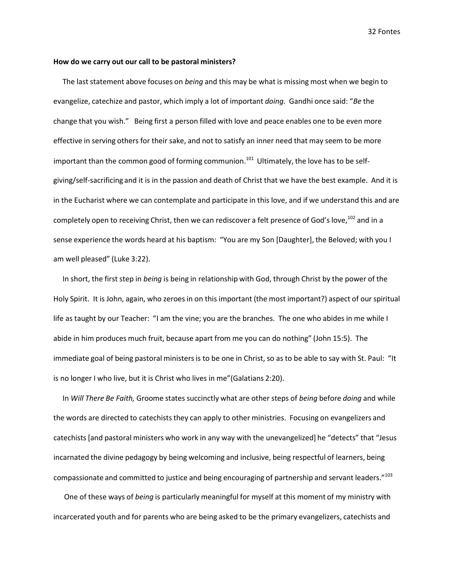#### **How do we carry out our call to be pastoral ministers?**

The last statement above focuses on *being* and this may be what is missing most when we begin to evangelize, catechize and pastor, which imply a lot of important *doing.* Gandhi once said: "*Be* the change that you wish." Being first a person filled with love and peace enables one to be even more effective in serving others for their sake, and not to satisfy an inner need that may seem to be more important than the common good of forming communion.<sup>101</sup> Ultimately, the love has to be selfgiving/self-sacrificing and it is in the passion and death of Christ that we have the best example. And it is in the Eucharist where we can contemplate and participate in this love, and if we understand this and are completely open to receiving Christ, then we can rediscover a felt presence of God's love, <sup>102</sup> and in a sense experience the words heard at his baptism: "You are my Son [Daughter], the Beloved; with you I am well pleased" (Luke 3:22).

In short, the first step in *being* is being in relationship with God, through Christ by the power of the Holy Spirit. It is John, again, who zeroes in on this important (the most important?) aspect of our spiritual life as taught by our Teacher: "I am the vine; you are the branches. The one who abides in me while I abide in him produces much fruit, because apart from me you can do nothing" (John 15:5). The immediate goal of being pastoral ministersis to be one in Christ, so as to be able to say with St. Paul: "It is no longer I who live, but it is Christ who lives in me"(Galatians 2:20).

In *Will There Be Faith,* Groome states succinctly what are other steps of *being* before *doing* and while the words are directed to catechists they can apply to other ministries. Focusing on evangelizers and catechists [and pastoral ministers who work in any way with the unevangelized] he "detects" that "Jesus incarnated the divine pedagogy by being welcoming and inclusive, being respectful of learners, being compassionate and committed to justice and being encouraging of partnership and servant leaders."<sup>103</sup>

One of these ways of *being* is particularly meaningful for myself at this moment of my ministry with incarcerated youth and for parents who are being asked to be the primary evangelizers, catechists and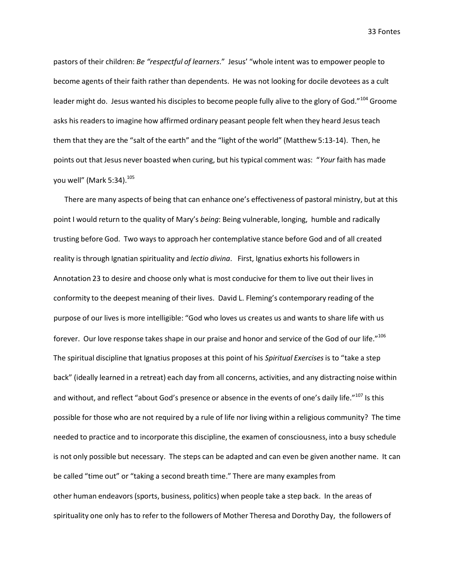pastors of their children: *Be "respectful of learners*." Jesus' "whole intent was to empower people to become agents of their faith rather than dependents. He was not looking for docile devotees as a cult leader might do. Jesus wanted his disciples to become people fully alive to the glory of God."<sup>104</sup> Groome asks his readers to imagine how affirmed ordinary peasant people felt when they heard Jesus teach them that they are the "salt of the earth" and the "light of the world" (Matthew 5:13-14). Then, he points out that Jesus never boasted when curing, but his typical comment was: "*Your* faith has made you well" (Mark 5:34). 105

There are many aspects of being that can enhance one's effectiveness of pastoral ministry, but at this point I would return to the quality of Mary's *being*: Being vulnerable, longing, humble and radically trusting before God. Two ways to approach her contemplative stance before God and of all created reality is through Ignatian spirituality and *lectio divina*. First, Ignatius exhorts his followers in Annotation 23 to desire and choose only what is most conducive for them to live out their lives in conformity to the deepest meaning of their lives. David L. Fleming's contemporary reading of the purpose of our lives is more intelligible: "God who loves us creates us and wants to share life with us forever. Our love response takes shape in our praise and honor and service of the God of our life."<sup>106</sup> The spiritual discipline that Ignatius proposes at this point of his *Spiritual Exercises*is to "take a step back" (ideally learned in a retreat) each day from all concerns, activities, and any distracting noise within and without, and reflect "about God's presence or absence in the events of one's daily life."<sup>107</sup> Is this possible for those who are not required by a rule of life nor living within a religious community? The time needed to practice and to incorporate this discipline, the examen of consciousness, into a busy schedule is not only possible but necessary. The steps can be adapted and can even be given another name. It can be called "time out" or "taking a second breath time." There are many examplesfrom other human endeavors(sports, business, politics) when people take a step back. In the areas of spirituality one only has to refer to the followers of Mother Theresa and Dorothy Day, the followers of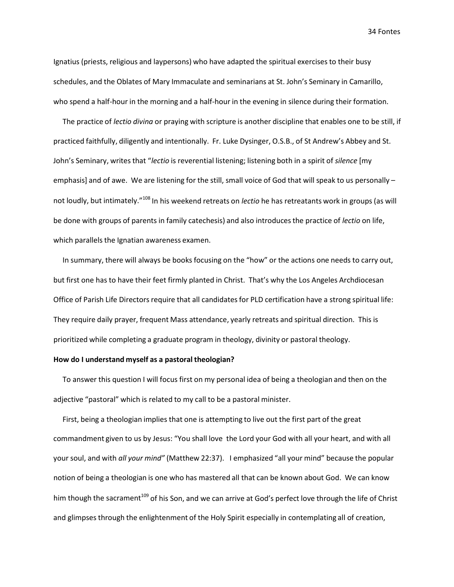Ignatius (priests, religious and laypersons) who have adapted the spiritual exercises to their busy schedules, and the Oblates of Mary Immaculate and seminarians at St. John's Seminary in Camarillo, who spend a half-hour in the morning and a half-hour in the evening in silence during their formation.

The practice of *lectio divina* or praying with scripture is another discipline that enables one to be still, if practiced faithfully, diligently and intentionally. Fr. Luke Dysinger, O.S.B., of St Andrew's Abbey and St. John's Seminary, writesthat "*lectio* is reverential listening; listening both in a spirit of *silence* [my emphasis] and of awe. We are listening for the still, small voice of God that will speak to us personally not loudly, but intimately." <sup>108</sup> In his weekend retreats on *lectio* he has retreatants work in groups (as will be done with groups of parents in family catechesis) and also introducesthe practice of *lectio* on life, which parallels the Ignatian awareness examen.

In summary, there will always be books focusing on the "how" or the actions one needs to carry out, but first one has to have their feet firmly planted in Christ. That's why the Los Angeles Archdiocesan Office of Parish Life Directors require that all candidates for PLD certification have a strong spiritual life: They require daily prayer, frequent Mass attendance, yearly retreats and spiritual direction. This is prioritized while completing a graduate program in theology, divinity or pastoral theology.

# **How do I understand myself as a pastoral theologian?**

To answer this question I will focus first on my personal idea of being a theologian and then on the adjective "pastoral" which is related to my call to be a pastoral minister.

First, being a theologian implies that one is attempting to live out the first part of the great commandment given to us by Jesus: "You shall love the Lord your God with all your heart, and with all your soul, and with *all your mind"* (Matthew 22:37). I emphasized "all your mind" because the popular notion of being a theologian is one who has mastered all that can be known about God. We can know him though the sacrament<sup>109</sup> of his Son, and we can arrive at God's perfect love through the life of Christ and glimpses through the enlightenment of the Holy Spirit especially in contemplating all of creation,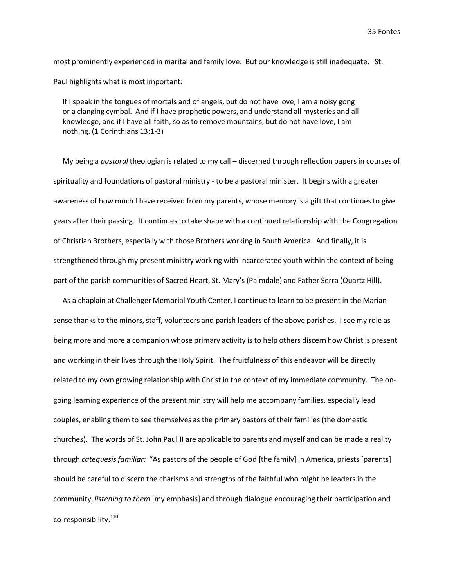most prominently experienced in marital and family love. But our knowledge is still inadequate. St. Paul highlights what is most important:

If I speak in the tongues of mortals and of angels, but do not have love, I am a noisy gong or a clanging cymbal. And if I have prophetic powers, and understand all mysteries and all knowledge, and if I have all faith, so as to remove mountains, but do not have love, I am nothing. (1 Corinthians 13:1-3)

My being a *pastoral* theologian is related to my call – discerned through reflection papers in courses of spirituality and foundations of pastoral ministry - to be a pastoral minister. It begins with a greater awareness of how much I have received from my parents, whose memory is a gift that continuesto give years after their passing. It continuesto take shape with a continued relationship with the Congregation of Christian Brothers, especially with those Brothers working in South America. And finally, it is strengthened through my present ministry working with incarcerated youth within the context of being part of the parish communities of Sacred Heart, St. Mary's (Palmdale) and Father Serra (Quartz Hill).

As a chaplain at Challenger Memorial Youth Center, I continue to learn to be present in the Marian sense thanks to the minors, staff, volunteers and parish leaders of the above parishes. I see my role as being more and more a companion whose primary activity is to help others discern how Christ is present and working in their lives through the Holy Spirit. The fruitfulness of this endeavor will be directly related to my own growing relationship with Christ in the context of my immediate community. The ongoing learning experience of the present ministry will help me accompany families, especially lead couples, enabling them to see themselves as the primary pastors of their families (the domestic churches). The words of St. John Paul II are applicable to parents and myself and can be made a reality through *catequesisfamiliar:* "As pastors of the people of God [the family] in America, priests [parents] should be careful to discern the charisms and strengths of the faithful who might be leaders in the community, *listening to them* [my emphasis] and through dialogue encouraging their participation and co-responsibility.  $^{110}$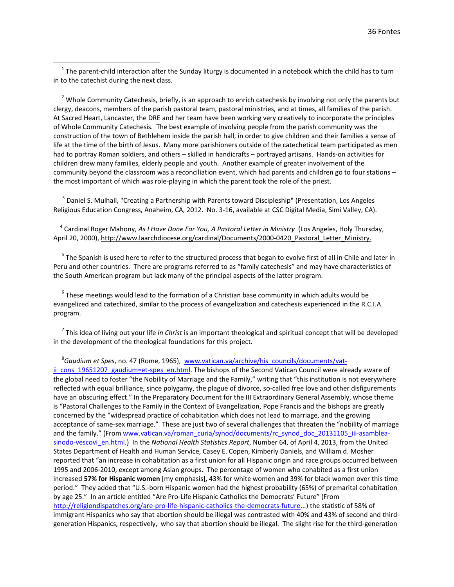$1$  The parent-child interaction after the Sunday liturgy is documented in a notebook which the child has to turn in to the catechist during the next class.

<sup>2</sup> Whole Community Catechesis, briefly, is an approach to enrich catechesis by involving not only the parents but clergy, deacons, members of the parish pastoral team, pastoral ministries, and at times, all families of the parish. At Sacred Heart, Lancaster, the DRE and her team have been working very creatively to incorporate the principles of Whole Community Catechesis. The best example of involving people from the parish community was the construction of the town of Bethlehem inside the parish hall, in order to give children and their families a sense of life at the time of the birth of Jesus. Many more parishioners outside of the catechetical team participated as men had to portray Roman soldiers, and others – skilled in handicrafts – portrayed artisans. Hands-on activities for children drew many families, elderly people and youth. Another example of greater involvement of the community beyond the classroom was a reconciliation event, which had parents and children go to four stations – the most important of which was role-playing in which the parent took the role of the priest.

<sup>3</sup> Daniel S. Mulhall, "Creating a Partnership with Parents toward Discipleship" (Presentation, Los Angeles Religious Education Congress, Anaheim, CA, 2012. No. 3-16, available at CSC Digital Media, Simi Valley, CA).

<sup>4</sup> Cardinal Roger Mahony, *As I Have Done For You, A Pastoral Letter in Ministry* (Los Angeles, Holy Thursday, April 20, 2000), http://www.laarchdiocese.org/cardinal/Documents/2000-0420 Pastoral Letter Ministry.

 $<sup>5</sup>$  The Spanish is used here to refer to the structured process that began to evolve first of all in Chile and later in</sup> Peru and other countries. There are programs referred to as "family catechesis" and may have characteristics of the South American program but lack many of the principal aspects of the latter program.

 $6$  These meetings would lead to the formation of a Christian base community in which adults would be evangelized and catechized, similar to the process of evangelization and catechesis experienced in the R.C.I.A program.

<sup>7</sup> This idea of living out your life *in Christ* is an important theological and spiritual concept that will be developed in the development of the theological foundations for this project.

8 *Gaudium et Spes*, no. 47 (Rome, 1965), [www.vatican.va/archive/his\\_councils/documents/vat](http://www.vatican.va/archive/his_councils/documents/vat-ii_cons_19651207_gaudium%3Det-spes_en.html)ii cons 19651207 gaudium=et-spes\_en.html. The bishops of the Second Vatican Council were already aware of the global need to foster "the Nobility of Marriage and the Family," writing that "this institution is not everywhere reflected with equal brilliance, since polygamy, the plague of divorce, so-called free love and other disfigurements have an obscuring effect." In the Preparatory Document for the III Extraordinary General Assembly, whose theme is "Pastoral Challenges to the Family in the Context of Evangelization, Pope Francis and the bishops are greatly concerned by the "widespread practice of cohabitation which does not lead to marriage, and the growing acceptance of same-sex marriage." These are just two of several challenges that threaten the "nobility of marriage and the family." (From [www.vatican.va/roman\\_curia/synod/documents/rc\\_synod\\_doc\\_20131105\\_iii-asamblea](http://www.vatican.va/roman_curia/synod/documents/rc_synod_doc_20131105_iii-asamblea-sinodo-vescovi_en.html)[sinodo-vescovi\\_en.html.\)](http://www.vatican.va/roman_curia/synod/documents/rc_synod_doc_20131105_iii-asamblea-sinodo-vescovi_en.html) In the *National Health Statistics Report*, Number 64, of April 4, 2013, from the United States Department of Health and Human Service, Casey E. Copen, Kimberly Daniels, and William d. Mosher reported that "an increase in cohabitation as a first union for all Hispanic origin and race groups occurred between 1995 and 2006-2010, except among Asian groups. The percentage of women who cohabited as a first union increased **57% for Hispanic women** [my emphasis]**,** 43% for white women and 39% for black women over this time period." They added that "U.S.-born Hispanic women had the highest probability (65%) of premarital cohabitation by age 25." In an article entitled "Are Pro-Life Hispanic Catholics the Democrats' Future" (From [http://religiondispatches.org/are-pro-life-hispanic-catholics-the-democrats-future.](http://religiondispatches.org/are-pro-life-hispanic-catholics-the-democrats-future)..) the statistic of 58% of immigrant Hispanics who say that abortion should be illegal was contrasted with 40% and 43% of second and thirdgeneration Hispanics, respectively, who say that abortion should be illegal. The slight rise for the third-generation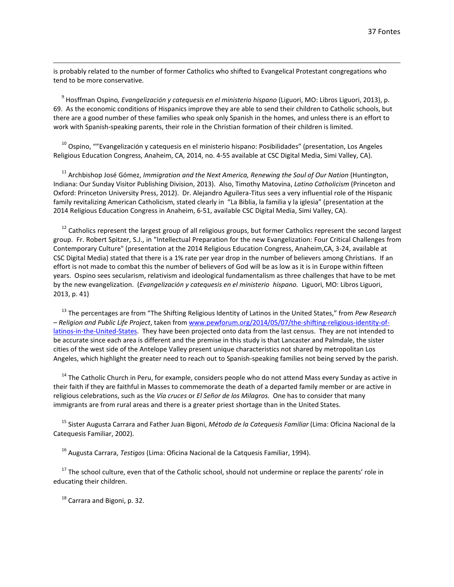is probably related to the number of former Catholics who shifted to Evangelical Protestant congregations who tend to be more conservative.

<sup>9</sup> Hosffman Ospino*, Evangelización y catequesis en el ministerio hispano* (Liguori, MO: Libros Liguori, 2013), p. 69. As the economic conditions of Hispanics improve they are able to send their children to Catholic schools, but there are a good number of these families who speak only Spanish in the homes, and unless there is an effort to work with Spanish-speaking parents, their role in the Christian formation of their children is limited.

<sup>10</sup> Ospino, ""Evangelización y catequesis en el ministerio hispano: Posibilidades" (presentation, Los Angeles Religious Education Congress, Anaheim, CA, 2014, no. 4-55 available at CSC Digital Media, Simi Valley, CA).

<sup>11</sup> Archbishop José Gómez, *Immigration and the Next America, Renewing the Soul of Our Nation* (Huntington, Indiana: Our Sunday Visitor Publishing Division, 2013). Also, Timothy Matovina, *Latino Catholicism* (Princeton and Oxford: Princeton University Press, 2012). Dr. Alejandro Aguilera-Titus sees a very influential role of the Hispanic family revitalizing American Catholicism, stated clearly in "La Biblia, la familia y la iglesia" (presentation at the 2014 Religious Education Congress in Anaheim, 6-51, available CSC Digital Media, Simi Valley, CA).

 $12$  Catholics represent the largest group of all religious groups, but former Catholics represent the second largest group. Fr. Robert Spitzer, S.J., in "Intellectual Preparation for the new Evangelization: Four Critical Challenges from Contemporary Culture" (presentation at the 2014 Religious Education Congress, Anaheim,CA, 3-24, available at CSC Digital Media) stated that there is a 1% rate per year drop in the number of believers among Christians. If an effort is not made to combat this the number of believers of God will be as low as it is in Europe within fifteen years. Ospino sees secularism, relativism and ideological fundamentalism as three challenges that have to be met by the new evangelization. (*Evangelización y catequesis en el ministerio hispano.* Liguori, MO: Libros Liguori, 2013, p. 41)

<sup>13</sup> The percentages are from "The Shifting Religious Identity of Latinos in the United States," from *Pew Research – Religion and Public Life Project*, taken from [www.pewforum.org/2014/05/07/the-shifting-religious-identity-of](http://www.pewforum.org/2014/05/07/the-shifting-religious-identity-of-latinos-in-the-United-States)[latinos-in-the-United-States.](http://www.pewforum.org/2014/05/07/the-shifting-religious-identity-of-latinos-in-the-United-States) They have been projected onto data from the last census. They are not intended to be accurate since each area is different and the premise in this study is that Lancaster and Palmdale, the sister cities of the west side of the Antelope Valley present unique characteristics not shared by metropolitan Los Angeles, which highlight the greater need to reach out to Spanish-speaking families not being served by the parish.

<sup>14</sup> The Catholic Church in Peru, for example, considers people who do not attend Mass every Sunday as active in their faith if they are faithful in Masses to commemorate the death of a departed family member or are active in religious celebrations, such as the *Vía cruces* or *El Señor de los Milagros.* One has to consider that many immigrants are from rural areas and there is a greater priest shortage than in the United States.

<sup>15</sup> Sister Augusta Carrara and Father Juan Bigoni, *Método de la Catequesis Familiar* (Lima: Oficina Nacional de la Catequesis Familiar, 2002).

<sup>16</sup> Augusta Carrara, *Testigos* (Lima: Oficina Nacional de la Catquesis Familiar, 1994).

 $17$  The school culture, even that of the Catholic school, should not undermine or replace the parents' role in educating their children.

 $18$  Carrara and Bigoni, p. 32.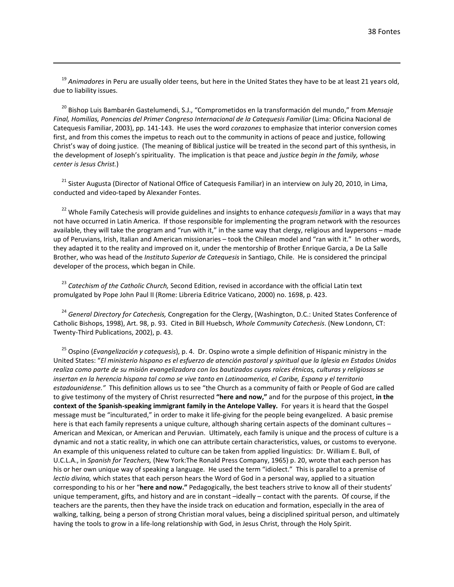<sup>19</sup> Animadores in Peru are usually older teens, but here in the United States they have to be at least 21 years old, due to liability issues.

<sup>20</sup> Bishop Luis Bambarén Gastelumendi, S.J., "Comprometidos en la transformación del mundo," from *Mensaje Final, Homilías, Ponencias del Primer Congreso Internacional de la Catequesis Familiar* (Lima: Oficina Nacional de Catequesis Familiar, 2003), pp. 141-143. He uses the word *corazones* to emphasize that interior conversion comes first, and from this comes the impetus to reach out to the community in actions of peace and justice, following Christ's way of doing justice. (The meaning of Biblical justice will be treated in the second part of this synthesis, in the development of Joseph's spirituality. The implication is that peace and *justice begin in the family, whose center is Jesus Christ.*)

<sup>21</sup> Sister Augusta (Director of National Office of Catequesis Familiar) in an interview on July 20, 2010, in Lima, conducted and video-taped by Alexander Fontes.

<sup>22</sup> Whole Family Catechesis will provide guidelines and insights to enhance *catequesis familiar* in a ways that may not have occurred in Latin America. If those responsible for implementing the program network with the resources available, they will take the program and "run with it," in the same way that clergy, religious and laypersons – made up of Peruvians, Irish, Italian and American missionaries – took the Chilean model and "ran with it." In other words, they adapted it to the reality and improved on it, under the mentorship of Brother Enrique Garcia, a De La Salle Brother, who was head of the *Instituto Superior de Catequesis* in Santiago, Chile. He is considered the principal developer of the process, which began in Chile.

<sup>23</sup> *Catechism of the Catholic Church,* Second Edition, revised in accordance with the official Latin text promulgated by Pope John Paul II (Rome: Libreria Editrice Vaticano, 2000) no. 1698, p. 423.

<sup>24</sup> *General Directory for Catechesis,* Congregation for the Clergy, (Washington, D.C.: United States Conference of Catholic Bishops, 1998), Art. 98, p. 93. Cited in Bill Huebsch, *Whole Community Catechesis*. (New Londonn, CT: Twenty-Third Publications, 2002), p. 43.

<sup>25</sup> Ospino (*Evangelización y catequesis*), p. 4. Dr. Ospino wrote a simple definition of Hispanic ministry in the United States: "*El ministerio hispano es el esfuerzo de atención pastoral y spiritual que la Iglesia en Estados Unidos realiza como parte de su misión evangelizadora con los bautizados cuyas raíces étnicas, culturas y religiosas se insertan en la herencia hispana tal como se vive tanto en Latinoamerica, el Caribe, Espana y el territorio estadounidense."* This definition allows us to see "the Church as a community of faith or People of God are called to give testimony of the mystery of Christ resurrected **"here and now,"** and for the purpose of this project, **in the context of the Spanish-speaking immigrant family in the Antelope Valley.** For years it is heard that the Gospel message must be "inculturated," in order to make it life-giving for the people being evangelized. A basic premise here is that each family represents a unique culture, although sharing certain aspects of the dominant cultures – American and Mexican, or American and Peruvian. Ultimately, each family is unique and the process of culture is a dynamic and not a static reality, in which one can attribute certain characteristics, values, or customs to everyone. An example of this uniqueness related to culture can be taken from applied linguistics: Dr. William E. Bull, of U.C.L.A., in *Spanish for Teachers,* (New York:The Ronald Press Company, 1965) p. 20, wrote that each person has his or her own unique way of speaking a language. He used the term "idiolect." This is parallel to a premise of *lectio divina,* which states that each person hears the Word of God in a personal way, applied to a situation corresponding to his or her "**here and now."** Pedagogically, the best teachers strive to know all of their students' unique temperament, gifts, and history and are in constant –ideally – contact with the parents. Of course, if the teachers are the parents, then they have the inside track on education and formation, especially in the area of walking, talking, being a person of strong Christian moral values, being a disciplined spiritual person, and ultimately having the tools to grow in a life-long relationship with God, in Jesus Christ, through the Holy Spirit.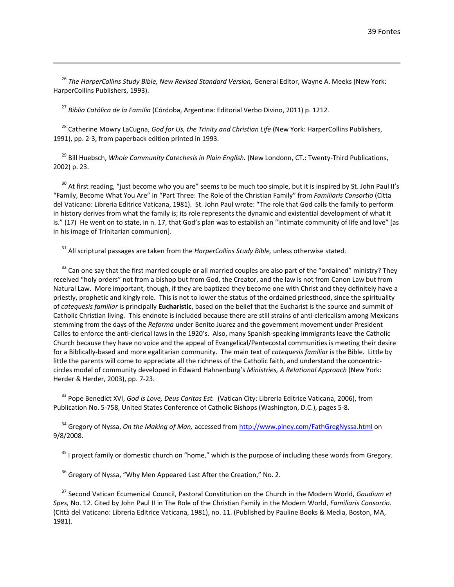<sup>26</sup> *The HarperCollins Study Bible, New Revised Standard Version,* General Editor, Wayne A. Meeks (New York: HarperCollins Publishers, 1993).

<sup>27</sup> *Biblia Católica de la Familia* (Córdoba, Argentina: Editorial Verbo Divino, 2011) p. 1212.

<sup>28</sup> Catherine Mowry LaCugna, *God for Us, the Trinity and Christian Life* (New York: HarperCollins Publishers, 1991), pp. 2-3, from paperback edition printed in 1993.

<sup>29</sup> Bill Huebsch, *Whole Community Catechesis in Plain English.* (New Londonn, CT.: Twenty-Third Publications, 2002) p. 23.

<sup>30</sup> At first reading, "just become who you are" seems to be much too simple, but it is inspired by St. John Paul II's "Family, Become What You Are" in "Part Three: The Role of the Christian Family" from *Familiaris Consortio* (Citta del Vaticano: Libreria Editrice Vaticana, 1981). St. John Paul wrote: "The role that God calls the family to perform in history derives from what the family is; its role represents the dynamic and existential development of what it is." (17) He went on to state, in n. 17, that God's plan was to establish an "intimate community of life and love" [as in his image of Trinitarian communion].

<sup>31</sup> All scriptural passages are taken from the *HarperCollins Study Bible,* unless otherwise stated.

 $32$  Can one say that the first married couple or all married couples are also part of the "ordained" ministry? They received "holy orders" not from a bishop but from God, the Creator, and the law is not from Canon Law but from Natural Law. More important, though, if they are baptized they become one with Christ and they definitely have a priestly, prophetic and kingly role. This is not to lower the status of the ordained priesthood, since the spirituality of *catequesis familiar* is principally **Eucharistic**, based on the belief that the Eucharist is the source and summit of Catholic Christian living. This endnote is included because there are still strains of anti-clericalism among Mexicans stemming from the days of the *Reforma* under Benito Juarez and the government movement under President Calles to enforce the anti-clerical laws in the 1920's. Also, many Spanish-speaking immigrants leave the Catholic Church because they have no voice and the appeal of Evangelical/Pentecostal communities is meeting their desire for a Biblically-based and more egalitarian community. The main text of *catequesis familiar* is the Bible. Little by little the parents will come to appreciate all the richness of the Catholic faith, and understand the concentriccircles model of community developed in Edward Hahnenburg's *Ministries, A Relational Approach* (New York: Herder & Herder, 2003), pp. 7-23.

<sup>33</sup> Pope Benedict XVI, *God is Love, Deus Caritas Est.* (Vatican City: Libreria Editrice Vaticana, 2006), from Publication No. 5-758, United States Conference of Catholic Bishops (Washington, D.C.), pages 5-8.

<sup>34</sup> Gregory of Nyssa, *On the Making of Man,* accessed from<http://www.piney.com/FathGregNyssa.html> on 9/8/2008.

 $35$  I project family or domestic church on "home," which is the purpose of including these words from Gregory.

 $36$  Gregory of Nyssa, "Why Men Appeared Last After the Creation," No. 2.

<sup>37</sup> Second Vatican Ecumenical Council, Pastoral Constitution on the Church in the Modern World, *Gaudium et Spes,* No. 12. Cited by John Paul II in The Role of the Christian Family in the Modern World, *Familiaris Consortio.*  (Città del Vaticano: Libreria Editrice Vaticana, 1981), no. 11. (Published by Pauline Books & Media, Boston, MA, 1981).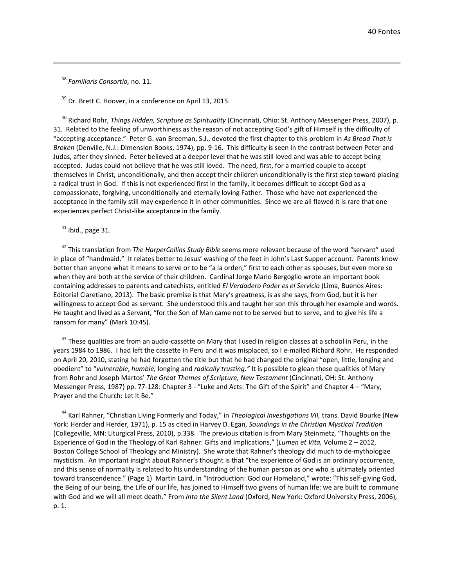<sup>38</sup> *Familiaris Consortio,* no. 11.

 $39$  Dr. Brett C. Hoover, in a conference on April 13, 2015.

<sup>40</sup> Richard Rohr, *Things Hidden, Scripture as Spirituality* (Cincinnati, Ohio: St. Anthony Messenger Press, 2007), p. 31. Related to the feeling of unworthiness as the reason of not accepting God's gift of Himself is the difficulty of "accepting acceptance." Peter G. van Breeman, S.J., devoted the first chapter to this problem in *As Bread That is Broken* (Denville, N.J.: Dimension Books, 1974), pp. 9-16. This difficulty is seen in the contrast between Peter and Judas, after they sinned. Peter believed at a deeper level that he was still loved and was able to accept being accepted. Judas could not believe that he was still loved. The need, first, for a married couple to accept themselves in Christ, unconditionally, and then accept their children unconditionally is the first step toward placing a radical trust in God. If this is not experienced first in the family, it becomes difficult to accept God as a compassionate, forgiving, unconditionally and eternally loving Father. Those who have not experienced the acceptance in the family still may experience it in other communities. Since we are all flawed it is rare that one experiences perfect Christ-like acceptance in the family.

 $41$  Ibid., page 31.

<sup>42</sup> This translation from *The HarperCollins Study Bible* seems more relevant because of the word "servant" used in place of "handmaid." It relates better to Jesus' washing of the feet in John's Last Supper account. Parents know better than anyone what it means to serve or to be "a la orden," first to each other as spouses, but even more so when they are both at the service of their children. Cardinal Jorge Mario Bergoglio wrote an important book containing addresses to parents and catechists, entitled *El Verdadero Poder es el Servicio* (Lima, Buenos Aires: Editorial Claretiano, 2013). The basic premise is that Mary's greatness, is as she says, from God, but it is her willingness to accept God as servant. She understood this and taught her son this through her example and words. He taught and lived as a Servant, "for the Son of Man came not to be served but to serve, and to give his life a ransom for many" (Mark 10:45).

<sup>43</sup> These qualities are from an audio-cassette on Mary that I used in religion classes at a school in Peru, in the years 1984 to 1986. I had left the cassette in Peru and it was misplaced, so I e-mailed Richard Rohr. He responded on April 20, 2010, stating he had forgotten the title but that he had changed the original "open, little, longing and obedient" to "*vulnerable*, *humble,* longing and *radically trusting."* It is possible to glean these qualities of Mary from Rohr and Joseph Martos' *The Great Themes of Scripture, New Testament* (Cincinnati, OH: St. Anthony Messenger Press, 1987) pp. 77-128: Chapter 3 - "Luke and Acts: The Gift of the Spirit" and Chapter 4 – "Mary, Prayer and the Church: Let it Be."

<sup>44</sup> Karl Rahner, "Christian Living Formerly and Today," in *Theological Investigations VII,* trans. David Bourke (New York: Herder and Herder, 1971), p. 15 as cited in Harvey D. Egan, *Soundings in the Christian Mystical Tradition*  (Collegeville, MN: Liturgical Press, 2010), p.338. The previous citation is from Mary Steinmetz, "Thoughts on the Experience of God in the Theology of Karl Rahner: Gifts and Implications," (*Lumen et Vita,* Volume 2 – 2012, Boston College School of Theology and Ministry). She wrote that Rahner's theology did much to de-mythologize mysticism. An important insight about Rahner's thought is that "the experience of God is an ordinary occurrence, and this sense of normality is related to his understanding of the human person as one who is ultimately oriented toward transcendence." (Page 1) Martin Laird, in "Introduction: God our Homeland," wrote: "This self-giving God, the Being of our being, the Life of our life, has joined to Himself two givens of human life: we are built to commune with God and we will all meet death." From *Into the Silent Land* (Oxford, New York: Oxford University Press, 2006), p. 1.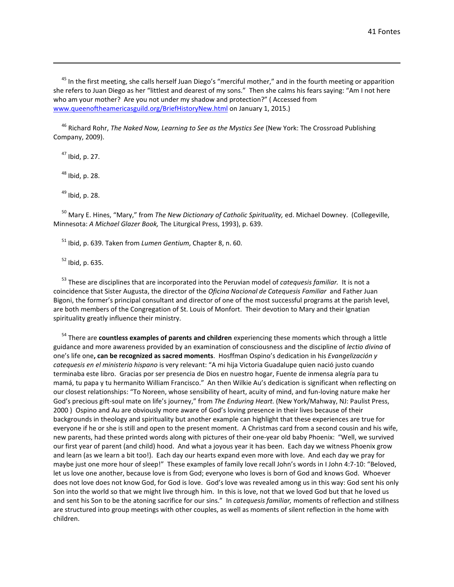<sup>45</sup> In the first meeting, she calls herself Juan Diego's "merciful mother," and in the fourth meeting or apparition she refers to Juan Diego as her "littlest and dearest of my sons." Then she calms his fears saying: "Am I not here who am your mother? Are you not under my shadow and protection?" ( Accessed from [www.queenoftheamericasguild.org/BriefHistoryNew.html](http://www.queenoftheamericasguild.org/BriefHistoryNew.html) on January 1, 2015.)

<sup>46</sup> Richard Rohr, *The Naked Now, Learning to See as the Mystics See* (New York: The Crossroad Publishing Company, 2009).

 $47$  Ibid, p. 27.

 $48$  Ibid, p. 28.

 $49$  Ibid, p. 28.

<sup>50</sup> Mary E. Hines, "Mary," from *The New Dictionary of Catholic Spirituality,* ed. Michael Downey. (Collegeville, Minnesota: *A Michael Glazer Book,* The Liturgical Press, 1993), p. 639.

<sup>51</sup> Ibid, p. 639. Taken from *Lumen Gentium*, Chapter 8, n. 60.

<sup>52</sup> Ibid, p. 635.

<sup>53</sup> These are disciplines that are incorporated into the Peruvian model of *catequesis familiar.* It is not a coincidence that Sister Augusta, the director of the *Oficina Nacional de Catequesis Familiar* and Father Juan Bigoni, the former's principal consultant and director of one of the most successful programs at the parish level, are both members of the Congregation of St. Louis of Monfort. Their devotion to Mary and their Ignatian spirituality greatly influence their ministry.

<sup>54</sup> There are **countless examples of parents and children** experiencing these moments which through a little guidance and more awareness provided by an examination of consciousness and the discipline of *lectio divina* of one's life one**, can be recognized as sacred moments**. Hosffman Ospino's dedication in his *Evangelización y catequesis en el ministerio hispano* is very relevant: "A mi hija Victoria Guadalupe quien nació justo cuando terminaba este libro. Gracias por ser presencia de Dios en nuestro hogar, Fuente de inmensa alegría para tu mamá, tu papa y tu hermanito William Francisco." An then Wilkie Au's dedication is significant when reflecting on our closest relationships: "To Noreen, whose sensibility of heart, acuity of mind, and fun-loving nature make her God's precious gift-soul mate on life's journey," from *The Enduring Heart.* (New York/Mahway, NJ: Paulist Press, 2000 ) Ospino and Au are obviously more aware of God's loving presence in their lives because of their backgrounds in theology and spirituality but another example can highlight that these experiences are true for everyone if he or she is still and open to the present moment. A Christmas card from a second cousin and his wife, new parents, had these printed words along with pictures of their one-year old baby Phoenix: "Well, we survived our first year of parent (and child) hood. And what a joyous year it has been. Each day we witness Phoenix grow and learn (as we learn a bit too!). Each day our hearts expand even more with love. And each day we pray for maybe just one more hour of sleep!" These examples of family love recall John's words in I John 4:7-10: "Beloved, let us love one another, because love is from God; everyone who loves is born of God and knows God. Whoever does not love does not know God, for God is love. God's love was revealed among us in this way: God sent his only Son into the world so that we might live through him. In this is love, not that we loved God but that he loved us and sent his Son to be the atoning sacrifice for our sins." In *catequesis familiar,* moments of reflection and stillness are structured into group meetings with other couples, as well as moments of silent reflection in the home with children.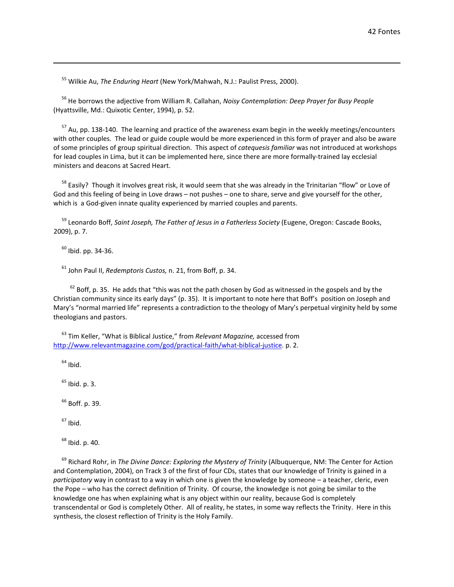<sup>55</sup> Wilkie Au, *The Enduring Heart* (New York/Mahwah, N.J.: Paulist Press, 2000).

<sup>56</sup> He borrows the adjective from William R. Callahan, *Noisy Contemplation: Deep Prayer for Busy People* (Hyattsville, Md.: Quixotic Center, 1994), p. 52.

 $57$  Au, pp. 138-140. The learning and practice of the awareness exam begin in the weekly meetings/encounters with other couples. The lead or guide couple would be more experienced in this form of prayer and also be aware of some principles of group spiritual direction. This aspect of *catequesis familiar* was not introduced at workshops for lead couples in Lima, but it can be implemented here, since there are more formally-trained lay ecclesial ministers and deacons at Sacred Heart.

<sup>58</sup> Easily? Though it involves great risk, it would seem that she was already in the Trinitarian "flow" or Love of God and this feeling of being in Love draws – not pushes – one to share, serve and give yourself for the other, which is a God-given innate quality experienced by married couples and parents.

<sup>59</sup> Leonardo Boff, *Saint Joseph, The Father of Jesus in a Fatherless Society* (Eugene, Oregon: Cascade Books, 2009), p. 7.

 $60$  Ibid. pp. 34-36.

<sup>61</sup> John Paul II, *Redemptoris Custos,* n. 21, from Boff, p. 34.

 $62$  Boff, p. 35. He adds that "this was not the path chosen by God as witnessed in the gospels and by the Christian community since its early days" (p. 35). It is important to note here that Boff's position on Joseph and Mary's "normal married life" represents a contradiction to the theology of Mary's perpetual virginity held by some theologians and pastors.

<sup>63</sup> Tim Keller, "What is Biblical Justice," from *Relevant Magazine,* accessed from [http://www.relevantmagazine.com/god/practical-faith/what-biblical-justice.](http://www.relevantmagazine.com/god/practical-faith/what-biblical-justice) p. 2.

 $64$  Ibid.

 $65$  Ibid. p. 3.

<sup>66</sup> Boff. p. 39.

 $67$  Ibid.

 $68$  Ibid. p. 40.

<sup>69</sup> Richard Rohr, in *The Divine Dance: Exploring the Mystery of Trinity* (Albuquerque, NM: The Center for Action and Contemplation, 2004), on Track 3 of the first of four CDs, states that our knowledge of Trinity is gained in a *participatory* way in contrast to a way in which one is given the knowledge by someone – a teacher, cleric, even the Pope – who has the correct definition of Trinity. Of course, the knowledge is not going be similar to the knowledge one has when explaining what is any object within our reality, because God is completely transcendental or God is completely Other. All of reality, he states, in some way reflects the Trinity. Here in this synthesis, the closest reflection of Trinity is the Holy Family.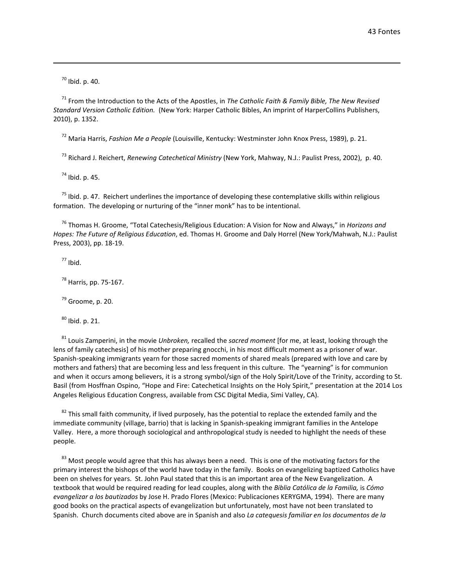$70$  Ibid. p. 40.

<sup>71</sup> From the Introduction to the Acts of the Apostles, in *The Catholic Faith & Family Bible, The New Revised Standard Version Catholic Edition.* (New York: Harper Catholic Bibles, An imprint of HarperCollins Publishers, 2010), p. 1352.

<sup>72</sup> Maria Harris, *Fashion Me a People* (Louisville, Kentucky: Westminster John Knox Press, 1989), p. 21.

<sup>73</sup> Richard J. Reichert, *Renewing Catechetical Ministry* (New York, Mahway, N.J.: Paulist Press, 2002), p. 40.

 $74$  Ibid. p. 45.

 $75$  Ibid. p. 47. Reichert underlines the importance of developing these contemplative skills within religious formation. The developing or nurturing of the "inner monk" has to be intentional.

<sup>76</sup> Thomas H. Groome, "Total Catechesis/Religious Education: A Vision for Now and Always," in *Horizons and Hopes: The Future of Religious Education*, ed. Thomas H. Groome and Daly Horrel (New York/Mahwah, N.J.: Paulist Press, 2003), pp. 18-19.

 $77$  Ibid.

<sup>78</sup> Harris, pp. 75-167.

 $79$  Groome, p. 20.

 $80$  Ibid. p. 21.

<sup>81</sup> Louis Zamperini, in the movie *Unbroken,* recalled the *sacred moment* [for me, at least, looking through the lens of family catechesis] of his mother preparing gnocchi, in his most difficult moment as a prisoner of war. Spanish-speaking immigrants yearn for those sacred moments of shared meals (prepared with love and care by mothers and fathers) that are becoming less and less frequent in this culture. The "yearning" is for communion and when it occurs among believers, it is a strong symbol/sign of the Holy Spirit/Love of the Trinity, according to St. Basil (from Hosffnan Ospino, "Hope and Fire: Catechetical Insights on the Holy Spirit," presentation at the 2014 Los Angeles Religious Education Congress, available from CSC Digital Media, Simi Valley, CA).

 $82$  This small faith community, if lived purposely, has the potential to replace the extended family and the immediate community (village, barrio) that is lacking in Spanish-speaking immigrant families in the Antelope Valley. Here, a more thorough sociological and anthropological study is needed to highlight the needs of these people.

<sup>83</sup> Most people would agree that this has always been a need. This is one of the motivating factors for the primary interest the bishops of the world have today in the family. Books on evangelizing baptized Catholics have been on shelves for years. St. John Paul stated that this is an important area of the New Evangelization. A textbook that would be required reading for lead couples, along with the *Biblia Católica de la Familia,* is *Cómo evangelizar a los bautizados* by Jose H. Prado Flores (Mexico: Publicaciones KERYGMA, 1994). There are many good books on the practical aspects of evangelization but unfortunately, most have not been translated to Spanish. Church documents cited above are in Spanish and also *La catequesis familiar en los documentos de la*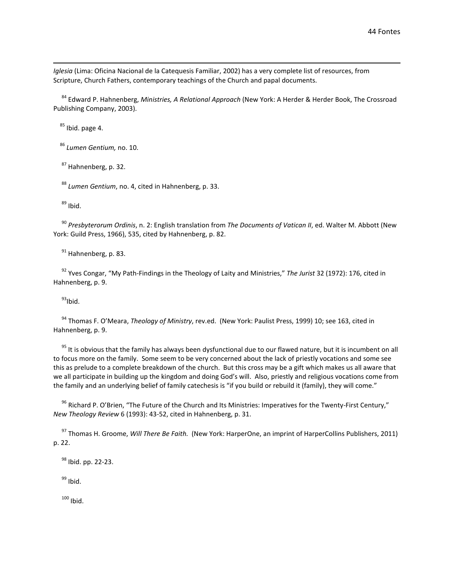*Iglesia* (Lima: Oficina Nacional de la Catequesis Familiar, 2002) has a very complete list of resources, from Scripture, Church Fathers, contemporary teachings of the Church and papal documents.

<sup>84</sup> Edward P. Hahnenberg, *Ministries, A Relational Approach* (New York: A Herder & Herder Book, The Crossroad Publishing Company, 2003).

 $85$  Ibid. page 4.

<sup>86</sup> *Lumen Gentium,* no. 10.

<sup>87</sup> Hahnenberg, p. 32.

<sup>88</sup> *Lumen Gentium*, no. 4, cited in Hahnenberg, p. 33.

 $89$  Ibid.

<sup>90</sup> *Presbyterorum Ordinis*, n. 2: English translation from *The Documents of Vatican II*, ed. Walter M. Abbott (New York: Guild Press, 1966), 535, cited by Hahnenberg, p. 82.

<sup>91</sup> Hahnenberg, p. 83.

<sup>92</sup> Yves Congar, "My Path-Findings in the Theology of Laity and Ministries," *The Jurist* 32 (1972): 176, cited in Hahnenberg, p. 9.

 $93$ Ibid.

<sup>94</sup> Thomas F. O'Meara, *Theology of Ministry*, rev.ed. (New York: Paulist Press, 1999) 10; see 163, cited in Hahnenberg, p. 9.

<sup>95</sup> It is obvious that the family has always been dysfunctional due to our flawed nature, but it is incumbent on all to focus more on the family. Some seem to be very concerned about the lack of priestly vocations and some see this as prelude to a complete breakdown of the church. But this cross may be a gift which makes us all aware that we all participate in building up the kingdom and doing God's will. Also, priestly and religious vocations come from the family and an underlying belief of family catechesis is "if you build or rebuild it (family), they will come."

<sup>96</sup> Richard P. O'Brien, "The Future of the Church and Its Ministries: Imperatives for the Twenty-First Century," *New Theology Review* 6 (1993): 43-52, cited in Hahnenberg, p. 31.

<sup>97</sup> Thomas H. Groome, *Will There Be Faith.* (New York: HarperOne, an imprint of HarperCollins Publishers, 2011) p. 22.

<sup>98</sup> Ibid. pp. 22-23.

 $99$  Ibid.

 $100$  Ibid.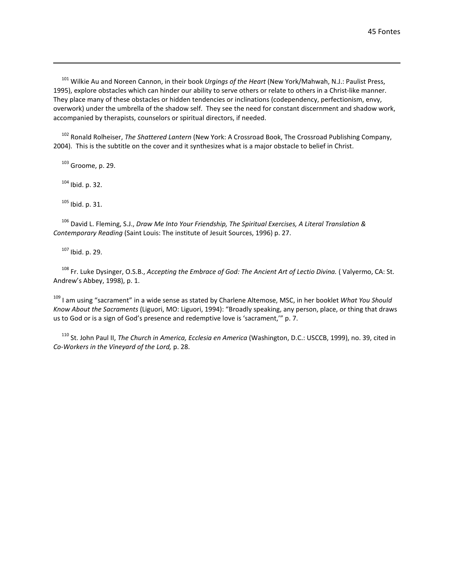<sup>101</sup> Wilkie Au and Noreen Cannon, in their book *Urgings of the Heart* (New York/Mahwah, N.J.: Paulist Press, 1995), explore obstacles which can hinder our ability to serve others or relate to others in a Christ-like manner. They place many of these obstacles or hidden tendencies or inclinations (codependency, perfectionism, envy, overwork) under the umbrella of the shadow self. They see the need for constant discernment and shadow work, accompanied by therapists, counselors or spiritual directors, if needed.

<sup>102</sup> Ronald Rolheiser, *The Shattered Lantern* (New York: A Crossroad Book, The Crossroad Publishing Company, 2004). This is the subtitle on the cover and it synthesizes what is a major obstacle to belief in Christ.

<sup>103</sup> Groome, p. 29.

<sup>104</sup> Ibid. p. 32.

<sup>105</sup> Ibid. p. 31.

<sup>106</sup> David L. Fleming, S.J., *Draw Me Into Your Friendship, The Spiritual Exercises, A Literal Translation & Contemporary Reading* (Saint Louis: The institute of Jesuit Sources, 1996) p. 27.

<sup>107</sup> Ibid. p. 29.

<sup>108</sup> Fr. Luke Dysinger, O.S.B., *Accepting the Embrace of God: The Ancient Art of Lectio Divina.* ( Valyermo, CA: St. Andrew's Abbey, 1998), p. 1.

<sup>109</sup> I am using "sacrament" in a wide sense as stated by Charlene Altemose, MSC, in her booklet *What You Should Know About the Sacraments* (Liguori, MO: Liguori, 1994): "Broadly speaking, any person, place, or thing that draws us to God or is a sign of God's presence and redemptive love is 'sacrament,'" p. 7.

<sup>110</sup> St. John Paul II, *The Church in America, Ecclesia en America* (Washington, D.C.: USCCB, 1999), no. 39, cited in *Co-Workers in the Vineyard of the Lord,* p. 28.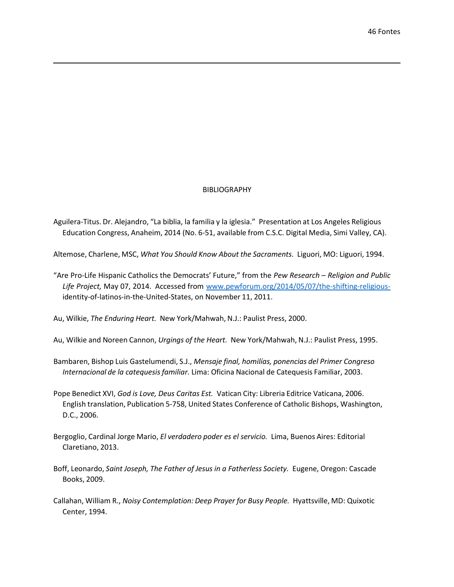# BIBLIOGRAPHY

Aguilera-Titus. Dr. Alejandro, "La biblia, la familia y la iglesia." Presentation at Los Angeles Religious Education Congress, Anaheim, 2014 (No. 6-51, available from C.S.C. Digital Media, Simi Valley, CA).

Altemose, Charlene, MSC, *What You Should Know About the Sacraments.* Liguori, MO: Liguori, 1994.

"Are Pro-Life Hispanic Catholics the Democrats' Future," from the *Pew Research – Religion and Public Life Project,* May 07, 2014. Accessed from [www.pewforum.org/2014/05/07/the-shifting-religious](http://www.pewforum.org/2014/05/07/the-shifting-religious-)identity-of-latinos-in-the-United-States, on November 11, 2011.

Au, Wilkie, *The Enduring Heart.* New York/Mahwah, N.J.: Paulist Press, 2000.

Au, Wilkie and Noreen Cannon, *Urgings of the Heart.* New York/Mahwah, N.J.: Paulist Press, 1995.

- Bambaren, Bishop Luis Gastelumendi, S.J., *Mensaje final, homilías, ponencias del Primer Congreso Internacional de la catequesisfamiliar.* Lima: Oficina Nacional de Catequesis Familiar, 2003.
- Pope Benedict XVI, *God is Love, Deus Caritas Est.* Vatican City: Libreria Editrice Vaticana, 2006. English translation, Publication 5-758, United States Conference of Catholic Bishops, Washington, D.C., 2006.
- Bergoglio, Cardinal Jorge Mario, *El verdadero poder es el servicio.* Lima, Buenos Aires: Editorial Claretiano, 2013.
- Boff, Leonardo, *Saint Joseph, The Father of Jesus in a Fatherless Society.* Eugene, Oregon: Cascade Books, 2009.
- Callahan, William R., *Noisy Contemplation: Deep Prayer for Busy People.* Hyattsville, MD: Quixotic Center, 1994.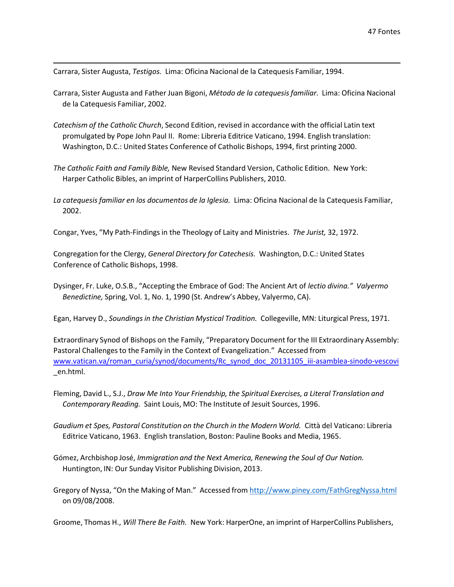Carrara, Sister Augusta, *Testigos.* Lima: Oficina Nacional de la Catequesis Familiar, 1994.

- Carrara, Sister Augusta and Father Juan Bigoni, *Método de la catequesisfamiliar.* Lima: Oficina Nacional de la Catequesis Familiar, 2002.
- *Catechism of the Catholic Church*, Second Edition, revised in accordance with the official Latin text promulgated by Pope John Paul II. Rome: Libreria Editrice Vaticano, 1994. English translation: Washington, D.C.: United States Conference of Catholic Bishops, 1994, first printing 2000.
- *The Catholic Faith and Family Bible,* New Revised Standard Version, Catholic Edition. New York: Harper Catholic Bibles, an imprint of HarperCollins Publishers, 2010.
- *La catequesis familiar en los documentos de la Iglesia.* Lima: Oficina Nacional de la Catequesis Familiar, 2002.

Congar, Yves, "My Path-Findingsin the Theology of Laity and Ministries. *The Jurist,* 32, 1972.

Congregation for the Clergy, *General Directory for Catechesis.* Washington, D.C.: United States Conference of Catholic Bishops, 1998.

Dysinger, Fr. Luke, O.S.B., "Accepting the Embrace of God: The Ancient Art of *lectio divina." Valyermo Benedictine,* Spring, Vol. 1, No. 1, 1990 (St. Andrew's Abbey, Valyermo, CA).

Egan, Harvey D., *Soundingsin the Christian Mystical Tradition.* Collegeville, MN: Liturgical Press, 1971.

Extraordinary Synod of Bishops on the Family, "Preparatory Document for the III Extraordinary Assembly: Pastoral Challenges to the Family in the Context of Evangelization." Accessed from [www.vatican.va/roman\\_curia/synod/documents/Rc\\_synod\\_doc\\_20131105\\_iii-asamblea-sinodo-vescovi](http://www.vatican.va/roman_curia/synod/documents/Rc_synod_doc_20131105_iii-asamblea-sinodo-vescovi) \_en.html.

- Fleming, David L., S.J., *Draw Me Into Your Friendship, the Spiritual Exercises, a Literal Translation and Contemporary Reading.* Saint Louis, MO: The Institute of Jesuit Sources, 1996.
- *Gaudium et Spes, Pastoral Constitution on the Church in the Modern World.* Città del Vaticano: Libreria Editrice Vaticano, 1963. English translation, Boston: Pauline Books and Media, 1965.
- Gómez, Archbishop José, *Immigration and the Next America, Renewing the Soul of Our Nation.* Huntington, IN: Our Sunday Visitor Publishing Division, 2013.
- Gregory of Nyssa, "On the Making of Man." Accessed from <http://www.piney.com/FathGregNyssa.html> on 09/08/2008.

Groome, Thomas H., *Will There Be Faith.* New York: HarperOne, an imprint of HarperCollins Publishers,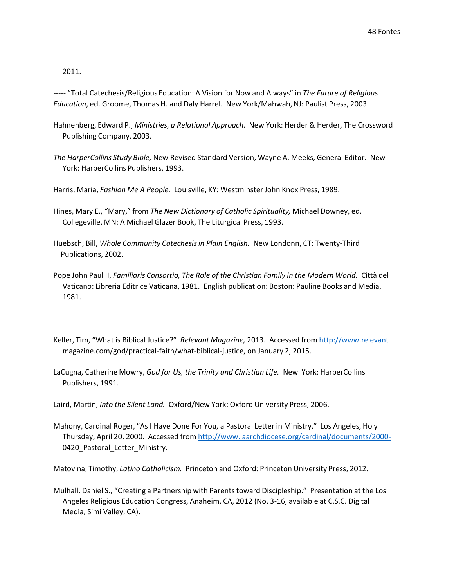2011.

----- "Total Catechesis/Religious Education: A Vision for Now and Always" in *The Future of Religious Education*, ed. Groome, Thomas H. and Daly Harrel. New York/Mahwah, NJ: Paulist Press, 2003.

- Hahnenberg, Edward P., *Ministries, a Relational Approach.* New York: Herder & Herder, The Crossword Publishing Company, 2003.
- *The HarperCollins Study Bible,* New Revised Standard Version, Wayne A. Meeks, General Editor. New York: HarperCollins Publishers, 1993.

Harris, Maria, *Fashion Me A People.* Louisville, KY: WestminsterJohn Knox Press, 1989.

- Hines, Mary E., "Mary," from *The New Dictionary of Catholic Spirituality,* Michael Downey, ed. Collegeville, MN: A Michael Glazer Book, The Liturgical Press, 1993.
- Huebsch, Bill, *Whole Community Catechesisin Plain English.* New Londonn, CT: Twenty-Third Publications, 2002.
- Pope John Paul II, *Familiaris Consortio, The Role of the Christian Family in the Modern World.* Città del Vaticano: Libreria Editrice Vaticana, 1981. English publication: Boston: Pauline Books and Media, 1981.
- Keller, Tim, "What is Biblical Justice?" *Relevant Magazine,* 2013. Accessed from http://www.relevant magazine.com/god/practical-faith/what-biblical-justice, on January 2, 2015.
- LaCugna, Catherine Mowry, *God for Us, the Trinity and Christian Life.* New York: HarperCollins Publishers, 1991.

Laird, Martin, *Into the Silent Land.* Oxford/New York: Oxford University Press, 2006.

Mahony, Cardinal Roger, "As I Have Done For You, a Pastoral Letter in Ministry." Los Angeles, Holy Thursday, April 20, 2000. Accessed from <http://www.laarchdiocese.org/cardinal/documents/2000-> 0420\_Pastoral\_Letter\_Ministry.

Matovina, Timothy, *Latino Catholicism.* Princeton and Oxford: Princeton University Press, 2012.

Mulhall, Daniel S., "Creating a Partnership with Parents toward Discipleship." Presentation at the Los Angeles Religious Education Congress, Anaheim, CA, 2012 (No. 3-16, available at C.S.C. Digital Media, Simi Valley, CA).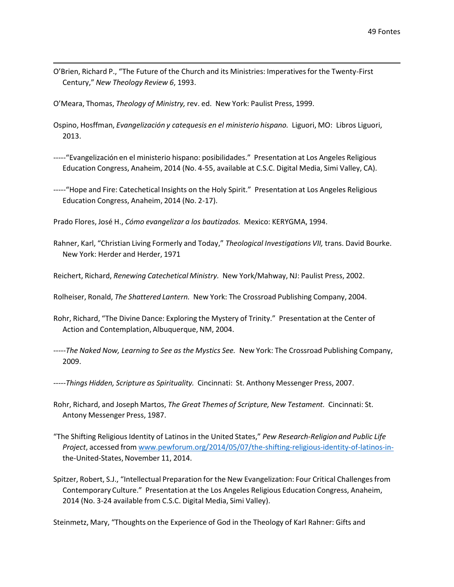O'Brien, Richard P., "The Future of the Church and its Ministries: Imperativesfor the Twenty-First Century," *New Theology Review 6*, 1993.

O'Meara, Thomas, *Theology of Ministry,* rev. ed. New York: Paulist Press, 1999.

- Ospino, Hosffman, *Evangelización y catequesis en el ministerio hispano.* Liguori, MO: Libros Liguori, 2013.
- -----"Evangelización en el ministerio hispano: posibilidades." Presentation at Los Angeles Religious Education Congress, Anaheim, 2014 (No. 4-55, available at C.S.C. Digital Media, Simi Valley, CA).
- -----"Hope and Fire: Catechetical Insights on the Holy Spirit." Presentation at Los Angeles Religious Education Congress, Anaheim, 2014 (No. 2-17).

Prado Flores, José H., *Cómo evangelizar a los bautizados.* Mexico: KERYGMA, 1994.

- Rahner, Karl, "Christian Living Formerly and Today," *Theological Investigations VII,* trans. David Bourke. New York: Herder and Herder, 1971
- Reichert, Richard, *Renewing Catechetical Ministry.* New York/Mahway, NJ: Paulist Press, 2002.
- Rolheiser, Ronald, *The Shattered Lantern.* New York: The Crossroad Publishing Company, 2004.
- Rohr, Richard, "The Divine Dance: Exploring the Mystery of Trinity." Presentation at the Center of Action and Contemplation, Albuquerque, NM, 2004.
- -----*The Naked Now, Learning to See as the Mystics See.* New York: The Crossroad Publishing Company, 2009.
- -----*Things Hidden, Scripture as Spirituality.* Cincinnati: St. Anthony Messenger Press, 2007.
- Rohr, Richard, and Joseph Martos, *The Great Themes of Scripture, New Testament.* Cincinnati: St. Antony Messenger Press, 1987.
- "The Shifting Religious Identity of Latinos in the United States," *Pew Research-Religion and Public Life Project*, accessed from [www.pewforum.org/2014/05/07/the-shifting-religious-identity-of-latinos-in](http://www.pewforum.org/2014/05/07/the-shifting-religious-identity-of-latinos-in-)the-United-States, November 11, 2014.
- Spitzer, Robert, S.J., "Intellectual Preparation for the New Evangelization: Four Critical Challengesfrom Contemporary Culture." Presentation at the Los Angeles Religious Education Congress, Anaheim, 2014 (No. 3-24 available from C.S.C. Digital Media, Simi Valley).

Steinmetz, Mary, "Thoughts on the Experience of God in the Theology of Karl Rahner: Gifts and